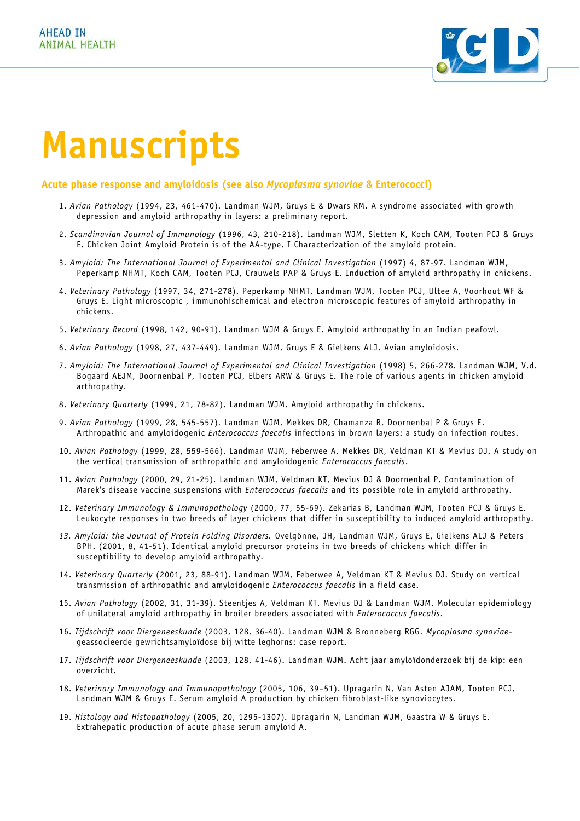

# **Manuscripts**

## **Acute phase response and amyloidosis (see also** *Mycoplasma synoviae* **& Enterococci)**

- 1. *Avian Pathology* (1994, 23, 461-470). Landman WJM, Gruys E & Dwars RM. A syndrome associated with growth depression and amyloid arthropathy in layers: a preliminary report.
- 2. *Scandinavian Journal of Immunology* (1996, 43, 210-218). Landman WJM, Sletten K, Koch CAM, Tooten PCJ & Gruys E. Chicken Joint Amyloid Protein is of the AA-type. I Characterization of the amyloid protein.
- 3. *Amyloid: The International Journal of Experimental and Clinical Investigation* (1997) 4, 87-97. Landman WJM, Peperkamp NHMT, Koch CAM, Tooten PCJ, Crauwels PAP & Gruys E. Induction of amyloid arthropathy in chickens.
- 4. *Veterinary Pathology* (1997, 34, 271-278). Peperkamp NHMT, Landman WJM, Tooten PCJ, Ultee A, Voorhout WF & Gruys E. Light microscopic , immunohischemical and electron microscopic features of amyloid arthropathy in chickens.
- 5. *Veterinary Record* (1998, 142, 90-91). Landman WJM & Gruys E. Amyloid arthropathy in an Indian peafowl.
- 6. *Avian Pathology* (1998, 27, 437-449). Landman WJM, Gruys E & Gielkens ALJ. Avian amyloidosis.
- 7. *Amyloid: The International Journal of Experimental and Clinical Investigation* (1998) 5, 266-278. Landman WJM, V.d. Bogaard AEJM, Doornenbal P, Tooten PCJ, Elbers ARW & Gruys E. The role of various agents in chicken amyloid arthropathy.
- 8. *Veterinary Quarterly* (1999, 21, 78-82). Landman WJM. Amyloid arthropathy in chickens.
- 9. *Avian Pathology* (1999, 28, 545-557). Landman WJM, Mekkes DR, Chamanza R, Doornenbal P & Gruys E. Arthropathic and amyloidogenic *Enterococcus faecalis* infections in brown layers: a study on infection routes.
- 10. *Avian Pathology* (1999, 28, 559-566). Landman WJM, Feberwee A, Mekkes DR, Veldman KT & Mevius DJ. A study on the vertical transmission of arthropathic and amyloidogenic *Enterococcus faecalis*.
- 11. *Avian Pathology* (2000, 29, 21-25). Landman WJM, Veldman KT, Mevius DJ & Doornenbal P. Contamination of Marek's disease vaccine suspensions with *Enterococcus faecalis* and its possible role in amyloid arthropathy.
- 12. *Veterinary Immunology & Immunopathology* (2000, 77, 55-69). Zekarias B, Landman WJM, Tooten PCJ & Gruys E. Leukocyte responses in two breeds of layer chickens that differ in susceptibility to induced amyloid arthropathy.
- *13. Amyloid: the Journal of Protein Folding Disorders.* Ovelgönne, JH, Landman WJM, Gruys E, Gielkens ALJ & Peters BPH. (2001, 8, 41-51). Identical amyloid precursor proteins in two breeds of chickens which differ in susceptibility to develop amyloid arthropathy.
- 14. *Veterinary Quarterly* (2001, 23, 88-91). Landman WJM, Feberwee A, Veldman KT & Mevius DJ. Study on vertical transmission of arthropathic and amyloidogenic *Enterococcus faecalis* in a field case.
- 15. *Avian Pathology* (2002, 31, 31-39). Steentjes A, Veldman KT, Mevius DJ & Landman WJM. Molecular epidemiology of unilateral amyloid arthropathy in broiler breeders associated with *Enterococcus faecalis*.
- 16. *Tijdschrift voor Diergeneeskunde* (2003, 128, 36-40). Landman WJM & Bronneberg RGG. *Mycoplasma synoviae*geassocieerde gewrichtsamyloïdose bij witte leghorns: case report.
- 17. *Tijdschrift voor Diergeneeskunde* (2003, 128, 41-46). Landman WJM. Acht jaar amyloïdonderzoek bij de kip: een overzicht.
- 18. *Veterinary Immunology and Immunopathology* (2005, 106, 39–51). Upragarin N, Van Asten AJAM, Tooten PCJ, Landman WJM & Gruys E. Serum amyloid A production by chicken fibroblast-like synoviocytes.
- 19. *Histology and Histopathology* (2005, 20, 1295-1307)*.* Upragarin N, Landman WJM, Gaastra W & Gruys E. Extrahepatic production of acute phase serum amyloid A.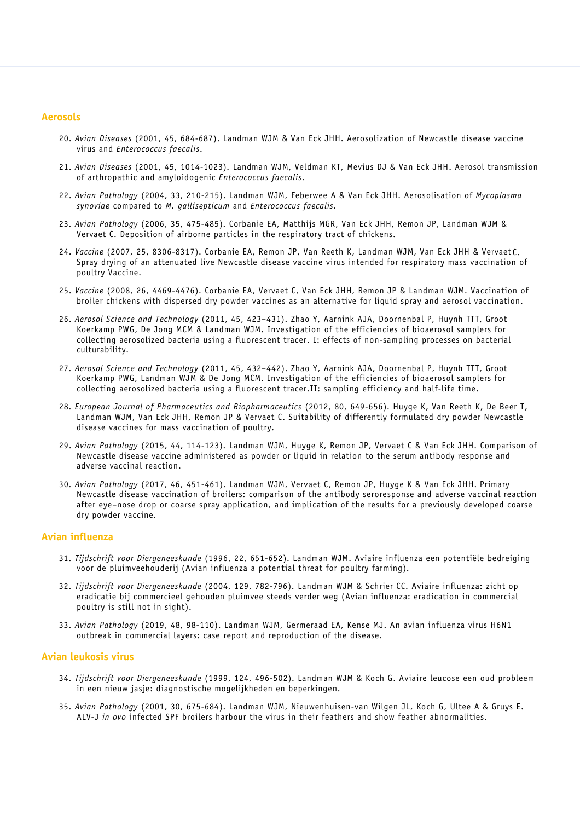## **Aerosols**

- 20. *Avian Diseases* (2001, 45, 684-687). Landman WJM & Van Eck JHH. Aerosolization of Newcastle disease vaccine virus and *Enterococcus faecalis*.
- 21. *Avian Diseases* (2001, 45, 1014-1023). Landman WJM, Veldman KT, Mevius DJ & Van Eck JHH. Aerosol transmission of arthropathic and amyloidogenic *Enterococcus faecalis*.
- 22. *Avian Pathology* (2004, 33, 210-215). Landman WJM, Feberwee A & Van Eck JHH. Aerosolisation of *Mycoplasma synoviae* compared to *M. gallisepticum* and *Enterococcus faecalis*.
- 23. *Avian Pathology* (2006, 35, 475-485). Corbanie EA, Matthijs MGR, Van Eck JHH, Remon JP, Landman WJM & Vervaet C. Deposition of airborne particles in the respiratory tract of chickens.
- 24. *Vaccine* (2007, 25, 8306-8317). Corbanie EA, Remon JP, Van Reeth K, Landman WJM, Van Eck JHH & Vervaet C. Spray drying of an attenuated live Newcastle disease vaccine virus intended for respiratory mass vaccination of poultry Vaccine.
- 25. *Vaccine* (2008, 26, 4469-4476). Corbanie EA, Vervaet C, Van Eck JHH, Remon JP & Landman WJM. Vaccination of broiler chickens with dispersed dry powder vaccines as an alternative for liquid spray and aerosol vaccination.
- 26. *Aerosol Science and Technology* (2011, 45, 423–431). Zhao Y, Aarnink AJA, Doornenbal P, Huynh TTT, Groot Koerkamp PWG, De Jong MCM & Landman WJM. Investigation of the efficiencies of bioaerosol samplers for collecting aerosolized bacteria using a fluorescent tracer. I: effects of non-sampling processes on bacterial culturability.
- 27. *Aerosol Science and Technology* (2011, 45, 432–442). Zhao Y, Aarnink AJA, Doornenbal P, Huynh TTT, Groot Koerkamp PWG, Landman WJM & De Jong MCM. Investigation of the efficiencies of bioaerosol samplers for collecting aerosolized bacteria using a fluorescent tracer.II: sampling efficiency and half-life time.
- 28. *European Journal of Pharmaceutics and Biopharmaceutics* (2012, 80, 649-656). Huyge K, Van Reeth K, De Beer T, Landman WJM, Van Eck JHH, Remon JP & Vervaet C. Suitability of differently formulated dry powder Newcastle disease vaccines for mass vaccination of poultry.
- 29. *Avian Pathology* (2015, 44, 114-123). Landman WJM, Huyge K, Remon JP, Vervaet C & Van Eck JHH. Comparison of Newcastle disease vaccine administered as powder or liquid in relation to the serum antibody response and adverse vaccinal reaction.
- 30. *Avian Pathology* (2017, 46, 451-461). Landman WJM, Vervaet C, Remon JP, Huyge K & Van Eck JHH. Primary Newcastle disease vaccination of broilers: comparison of the antibody seroresponse and adverse vaccinal reaction after eye–nose drop or coarse spray application, and implication of the results for a previously developed coarse dry powder vaccine.

#### **Avian influenza**

- 31. *Tijdschrift voor Diergeneeskunde* (1996, 22, 651-652). Landman WJM. Aviaire influenza een potentiële bedreiging voor de pluimveehouderij (Avian influenza a potential threat for poultry farming).
- 32. *Tijdschrift voor Diergeneeskunde* (2004, 129, 782-796). Landman WJM & Schrier CC. Aviaire influenza: zicht op eradicatie bij commercieel gehouden pluimvee steeds verder weg (Avian influenza: eradication in commercial poultry is still not in sight).
- 33. *Avian Pathology* (2019, 48, 98-110). Landman WJM, Germeraad EA, Kense MJ. An avian influenza virus H6N1 outbreak in commercial layers: case report and reproduction of the disease.

## **Avian leukosis virus**

- 34. *Tijdschrift voor Diergeneeskunde* (1999, 124, 496-502). Landman WJM & Koch G. Aviaire leucose een oud probleem in een nieuw jasje: diagnostische mogelijkheden en beperkingen.
- 35. *Avian Pathology* (2001, 30, 675-684). Landman WJM, Nieuwenhuisen-van Wilgen JL, Koch G, Ultee A & Gruys E. ALV-J *in ovo* infected SPF broilers harbour the virus in their feathers and show feather abnormalities.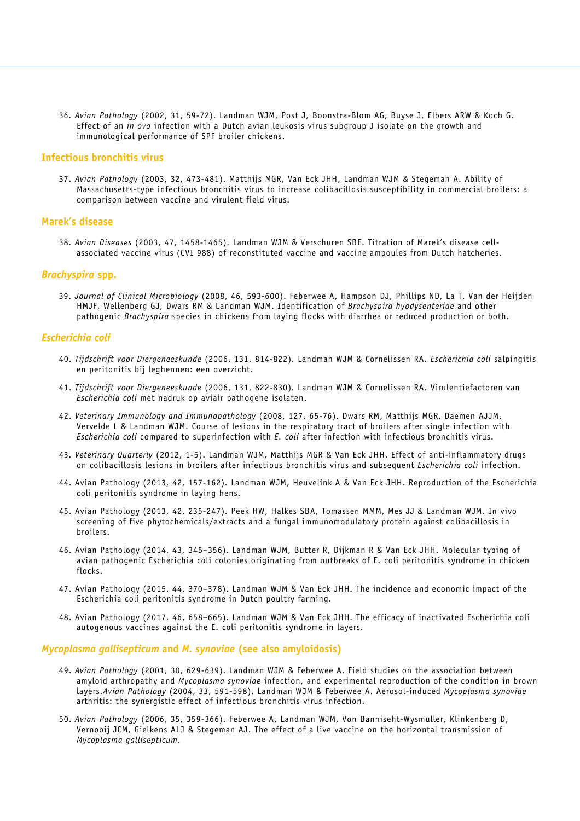36. *Avian Pathology* (2002, 31, 59-72). Landman WJM, Post J, Boonstra-Blom AG, Buyse J, Elbers ARW & Koch G. Effect of an *in ovo* infection with a Dutch avian leukosis virus subgroup J isolate on the growth and immunological performance of SPF broiler chickens.

## **Infectious bronchitis virus**

37. *Avian Pathology* (2003, 32, 473-481). Matthijs MGR, Van Eck JHH, Landman WJM & Stegeman A. Ability of Massachusetts-type infectious bronchitis virus to increase colibacillosis susceptibility in commercial broilers: a comparison between vaccine and virulent field virus.

#### **Marek's disease**

38. *Avian Diseases* (2003, 47, 1458-1465). Landman WJM & Verschuren SBE. Titration of Marek's disease cellassociated vaccine virus (CVI 988) of reconstituted vaccine and vaccine ampoules from Dutch hatcheries.

## *Brachyspira* **spp.**

39. *Journal of Clinical Microbiology* (2008, 46, 593-600). Feberwee A, Hampson DJ, Phillips ND, La T, Van der Heijden HMJF, Wellenberg GJ, Dwars RM & Landman WJM. Identification of *Brachyspira hyodysenteriae* and other pathogenic *Brachyspira* species in chickens from laying flocks with diarrhea or reduced production or both.

### *Escherichia coli*

- 40. *Tijdschrift voor Diergeneeskunde* (2006, 131, 814-822). Landman WJM & Cornelissen RA. *Escherichia coli* salpingitis en peritonitis bij leghennen: een overzicht.
- 41. *Tijdschrift voor Diergeneeskunde* (2006, 131, 822-830). Landman WJM & Cornelissen RA. Virulentiefactoren van *Escherichia coli* met nadruk op aviair pathogene isolaten.
- 42. *Veterinary Immunology and Immunopathology* (2008, 127, 65-76). Dwars RM, Matthijs MGR, Daemen AJJM, Vervelde L & Landman WJM. Course of lesions in the respiratory tract of broilers after single infection with *Escherichia coli* compared to superinfection with *E. coli* after infection with infectious bronchitis virus.
- 43. *Veterinary Quarterly* (2012, 1-5). Landman WJM, Matthijs MGR & Van Eck JHH. Effect of anti-inflammatory drugs on colibacillosis lesions in broilers after infectious bronchitis virus and subsequent *Escherichia coli* infection.
- 44. Avian Pathology (2013, 42, 157-162). Landman WJM, Heuvelink A & Van Eck JHH. Reproduction of the Escherichia coli peritonitis syndrome in laying hens.
- 45. Avian Pathology (2013, 42, 235-247). Peek HW, Halkes SBA, Tomassen MMM, Mes JJ & Landman WJM. In vivo screening of five phytochemicals/extracts and a fungal immunomodulatory protein against colibacillosis in broilers.
- 46. Avian Pathology (2014, 43, 345–356). Landman WJM, Butter R, Dijkman R & Van Eck JHH. Molecular typing of avian pathogenic Escherichia coli colonies originating from outbreaks of E. coli peritonitis syndrome in chicken flocks.
- 47. Avian Pathology (2015, 44, 370–378). Landman WJM & Van Eck JHH. The incidence and economic impact of the Escherichia coli peritonitis syndrome in Dutch poultry farming.
- 48. Avian Pathology (2017, 46, 658–665). Landman WJM & Van Eck JHH. The efficacy of inactivated Escherichia coli autogenous vaccines against the E. coli peritonitis syndrome in layers.

#### *Mycoplasma gallisepticum* **and** *M. synoviae* **(see also amyloidosis)**

- 49. *Avian Pathology* (2001, 30, 629-639). Landman WJM & Feberwee A. Field studies on the association between amyloid arthropathy and *Mycoplasma synoviae* infection, and experimental reproduction of the condition in brown layers.*Avian Pathology* (2004, 33, 591-598). Landman WJM & Feberwee A. Aerosol-induced *Mycoplasma synoviae* arthritis: the synergistic effect of infectious bronchitis virus infection.
- 50. *Avian Pathology* (2006, 35, 359-366). Feberwee A, Landman WJM, Von Banniseht-Wysmuller, Klinkenberg D, Vernooij JCM, Gielkens ALJ & Stegeman AJ. The effect of a live vaccine on the horizontal transmission of *Mycoplasma gallisepticum*.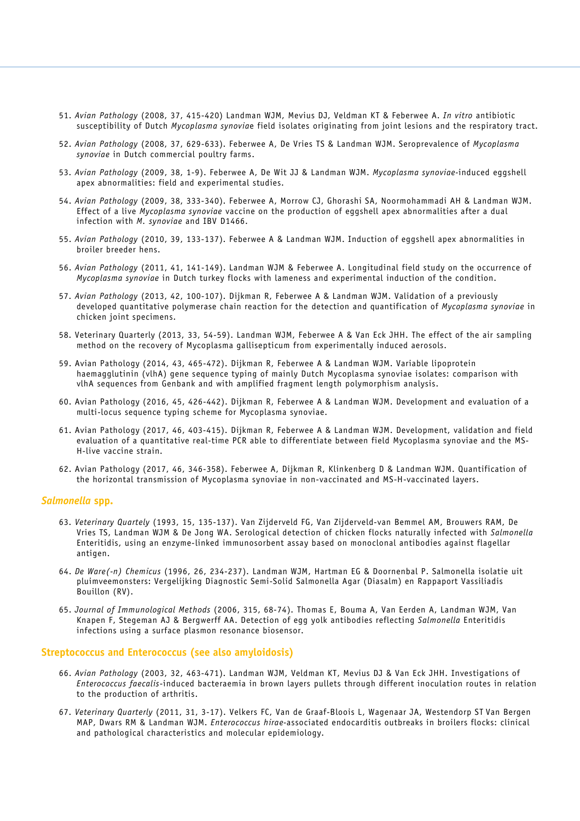- 51. *Avian Pathology* (2008, 37, 415-420) Landman WJM, Mevius DJ, Veldman KT & Feberwee A. *In vitro* antibiotic susceptibility of Dutch *Mycoplasma synovia*e field isolates originating from joint lesions and the respiratory tract.
- 52. *Avian Pathology* (2008, 37, 629-633). Feberwee A, De Vries TS & Landman WJM. Seroprevalence of *Mycoplasma synoviae* in Dutch commercial poultry farms.
- 53. *Avian Pathology* (2009, 38, 1-9). Feberwee A, De Wit JJ & Landman WJM. *Mycoplasma synoviae-*induced eggshell apex abnormalities: field and experimental studies.
- 54. *Avian Pathology* (2009, 38, 333-340). Feberwee A, Morrow CJ, Ghorashi SA, Noormohammadi AH & Landman WJM. Effect of a live *Mycoplasma synoviae* vaccine on the production of eggshell apex abnormalities after a dual infection with *M. synoviae* and IBV D1466.
- 55. *Avian Pathology* (2010, 39, 133-137). Feberwee A & Landman WJM. Induction of eggshell apex abnormalities in broiler breeder hens.
- 56. *Avian Pathology* (2011, 41, 141-149). Landman WJM & Feberwee A. Longitudinal field study on the occurrence of *Mycoplasma synoviae* in Dutch turkey flocks with lameness and experimental induction of the condition.
- 57. *Avian Pathology* (2013, 42, 100-107). Dijkman R, Feberwee A & Landman WJM. Validation of a previously developed quantitative polymerase chain reaction for the detection and quantification of *Mycoplasma synoviae* in chicken joint specimens.
- 58. Veterinary Quarterly (2013, 33, 54-59). Landman WJM, Feberwee A & Van Eck JHH. The effect of the air sampling method on the recovery of Mycoplasma gallisepticum from experimentally induced aerosols.
- 59. Avian Pathology (2014, 43, 465-472). Dijkman R, Feberwee A & Landman WJM. Variable lipoprotein haemagglutinin (vlhA) gene sequence typing of mainly Dutch Mycoplasma synoviae isolates: comparison with vlhA sequences from Genbank and with amplified fragment length polymorphism analysis.
- 60. Avian Pathology (2016, 45, 426-442). Dijkman R, Feberwee A & Landman WJM. Development and evaluation of a multi-locus sequence typing scheme for Mycoplasma synoviae.
- 61. Avian Pathology (2017, 46, 403-415). Dijkman R, Feberwee A & Landman WJM. Development, validation and field evaluation of a quantitative real-time PCR able to differentiate between field Mycoplasma synoviae and the MS-H-live vaccine strain.
- 62. Avian Pathology (2017, 46, 346-358). Feberwee A, Dijkman R, Klinkenberg D & Landman WJM. Quantification of the horizontal transmission of Mycoplasma synoviae in non-vaccinated and MS-H-vaccinated layers.

## *Salmonella* **spp.**

- 63. *Veterinary Quartely* (1993, 15, 135-137). Van Zijderveld FG, Van Zijderveld-van Bemmel AM, Brouwers RAM, De Vries TS, Landman WJM & De Jong WA. Serological detection of chicken flocks naturally infected with *Salmonella* Enteritidis, using an enzyme-linked immunosorbent assay based on monoclonal antibodies against flagellar antigen.
- 64. *De Ware(-n) Chemicus* (1996, 26, 234-237). Landman WJM, Hartman EG & Doornenbal P. Salmonella isolatie uit pluimveemonsters: Vergelijking Diagnostic Semi-Solid Salmonella Agar (Diasalm) en Rappaport Vassiliadis Bouillon (RV).
- 65. *Journal of Immunological Methods* (2006, 315, 68-74). Thomas E, Bouma A, Van Eerden A, Landman WJM, Van Knapen F, Stegeman AJ & Bergwerff AA. Detection of egg yolk antibodies reflecting *Salmonella* Enteritidis infections using a surface plasmon resonance biosensor.

### **Streptococcus and Enterococcus (see also amyloidosis)**

- 66. *Avian Pathology* (2003, 32, 463-471). Landman WJM, Veldman KT, Mevius DJ & Van Eck JHH. Investigations of *Enterococcus faecalis*-induced bacteraemia in brown layers pullets through different inoculation routes in relation to the production of arthritis.
- 67. *Veterinary Quarterly* (2011, 31, 3-17). Velkers FC, Van de Graaf-Bloois L, Wagenaar JA, Westendorp ST Van Bergen MAP, Dwars RM & Landman WJM. *Enterococcus hirae-*associated endocarditis outbreaks in broilers flocks: clinical and pathological characteristics and molecular epidemiology.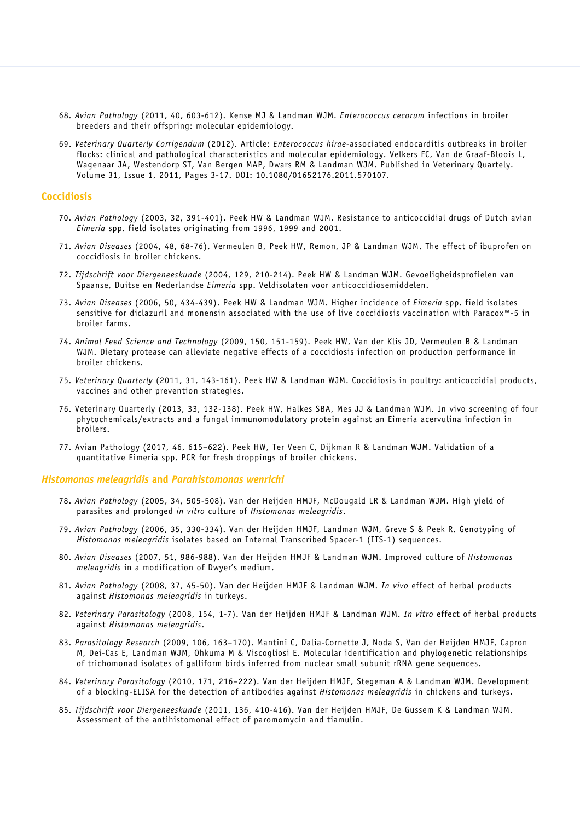- 68. *Avian Pathology* (2011, 40, 603-612). Kense MJ & Landman WJM. *Enterococcus cecorum* infections in broiler breeders and their offspring: molecular epidemiology.
- 69. *Veterinary Quarterly Corrigendum* (2012). Article: *Enterococcus hirae*-associated endocarditis outbreaks in broiler flocks: clinical and pathological characteristics and molecular epidemiology. Velkers FC, Van de Graaf-Bloois L, Wagenaar JA, Westendorp ST, Van Bergen MAP, Dwars RM & Landman WJM. Published in Veterinary Quartely. Volume 31, Issue 1, 2011, Pages 3-17. DOI: 10.1080/01652176.2011.570107.

## **Coccidiosis**

- 70. *Avian Pathology* (2003, 32, 391-401). Peek HW & Landman WJM. Resistance to anticoccidial drugs of Dutch avian *Eimeria* spp. field isolates originating from 1996, 1999 and 2001.
- 71. *Avian Diseases* (2004, 48, 68-76). Vermeulen B, Peek HW, Remon, JP & Landman WJM. The effect of ibuprofen on coccidiosis in broiler chickens.
- 72. *Tijdschrift voor Diergeneeskunde* (2004, 129, 210-214). Peek HW & Landman WJM. Gevoeligheidsprofielen van Spaanse, Duitse en Nederlandse *Eimeria* spp. Veldisolaten voor anticoccidiosemiddelen.
- 73. *Avian Diseases* (2006, 50, 434-439). Peek HW & Landman WJM. Higher incidence of *Eimeria* spp. field isolates sensitive for diclazuril and monensin associated with the use of live coccidiosis vaccination with Paracox™-5 in broiler farms.
- 74. *Animal Feed Science and Technology* (2009, 150, 151-159). Peek HW, Van der Klis JD, Vermeulen B & Landman WJM. Dietary protease can alleviate negative effects of a coccidiosis infection on production performance in broiler chickens.
- 75. *Veterinary Quarterly* (2011, 31, 143-161). Peek HW & Landman WJM. Coccidiosis in poultry: anticoccidial products, vaccines and other prevention strategies.
- 76. Veterinary Quarterly (2013, 33, 132-138). Peek HW, Halkes SBA, Mes JJ & Landman WJM. In vivo screening of four phytochemicals/extracts and a fungal immunomodulatory protein against an Eimeria acervulina infection in broilers.
- 77. Avian Pathology (2017, 46, 615–622). Peek HW, Ter Veen C, Dijkman R & Landman WJM. Validation of a quantitative Eimeria spp. PCR for fresh droppings of broiler chickens.

#### *Histomonas meleagridis* **and** *Parahistomonas wenrichi*

- 78. *Avian Pathology* (2005, 34, 505-508). Van der Heijden HMJF, McDougald LR & Landman WJM. High yield of parasites and prolonged *in vitro* culture of *Histomonas meleagridis*.
- 79. *Avian Pathology* (2006, 35, 330-334). Van der Heijden HMJF, Landman WJM, Greve S & Peek R. Genotyping of *Histomonas meleagridis* isolates based on Internal Transcribed Spacer-1 (ITS-1) sequences.
- 80. *Avian Diseases* (2007, 51, 986-988). Van der Heijden HMJF & Landman WJM. Improved culture of *Histomonas meleagridis* in a modification of Dwyer's medium.
- 81. *Avian Pathology* (2008, 37, 45-50). Van der Heijden HMJF & Landman WJM. *In vivo* effect of herbal products against *Histomonas meleagridis* in turkeys.
- 82. *Veterinary Parasitology* (2008, 154, 1-7). Van der Heijden HMJF & Landman WJM. *In vitro* effect of herbal products against *Histomonas meleagridis*.
- 83. *Parasitology Research* (2009, 106, 163–170). Mantini C, Dalia-Cornette J, Noda S, Van der Heijden HMJF, Capron M, Dei-Cas E, Landman WJM, Ohkuma M & Viscogliosi E. Molecular identification and phylogenetic relationships of trichomonad isolates of galliform birds inferred from nuclear small subunit rRNA gene sequences.
- 84. *Veterinary Parasitology* (2010, 171, 216–222). Van der Heijden HMJF, Stegeman A & Landman WJM. Development of a blocking-ELISA for the detection of antibodies against *Histomonas meleagridis* in chickens and turkeys.
- 85. *Tijdschrift voor Diergeneeskunde* (2011, 136, 410-416). Van der Heijden HMJF, De Gussem K & Landman WJM. Assessment of the antihistomonal effect of paromomycin and tiamulin.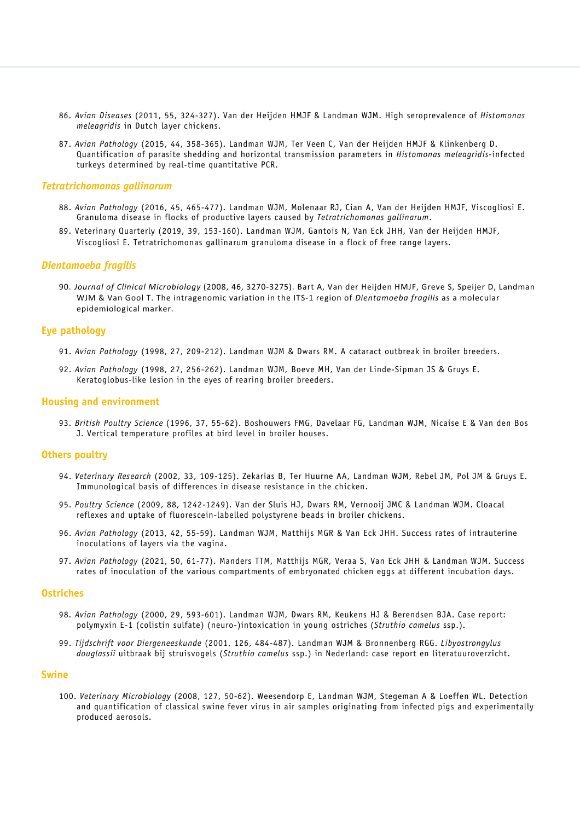- 86. *Avian Diseases* (2011, 55, 324-327). Van der Heijden HMJF & Landman WJM. High seroprevalence of *Histomonas meleagridis* in Dutch layer chickens.
- 87. *Avian Pathology* (2015, 44, 358-365). Landman WJM, Ter Veen C, Van der Heijden HMJF & Klinkenberg D. Quantification of parasite shedding and horizontal transmission parameters in *Histomonas meleagridis*-infected turkeys determined by real-time quantitative PCR.

#### *Tetratrichomonas gallinarum*

- 88. *Avian Pathology* (2016, 45, 465-477). Landman WJM, Molenaar RJ, Cian A, Van der Heijden HMJF, Viscogliosi E. Granuloma disease in flocks of productive layers caused by *Tetratrichomonas gallinarum*.
- 89. Veterinary Quarterly (2019, 39, 153-160). Landman WJM, Gantois N, Van Eck JHH, Van der Heijden HMJF, Viscogliosi E. Tetratrichomonas gallinarum granuloma disease in a flock of free range layers.

### *Dientamoeba fragilis*

90. *Journal of Clinical Microbiology* (2008, 46, 3270-3275). Bart A, Van der Heijden HMJF, Greve S, Speijer D, Landman WJM & Van Gool T. The intragenomic variation in the ITS-1 region of *Dientamoeba fragilis* as a molecular epidemiological marker.

### **Eye pathology**

- 91. *Avian Pathology* (1998, 27, 209-212). Landman WJM & Dwars RM. A cataract outbreak in broiler breeders.
- 92. *Avian Pathology* (1998, 27, 256-262). Landman WJM, Boeve MH, Van der Linde-Sipman JS & Gruys E. Keratoglobus-like lesion in the eyes of rearing broiler breeders.

#### **Housing and environment**

93. *British Poultry Science* (1996, 37, 55-62). Boshouwers FMG, Davelaar FG, Landman WJM, Nicaise E & Van den Bos J. Vertical temperature profiles at bird level in broiler houses.

#### **Others poultry**

- 94. *Veterinary Research* (2002, 33, 109-125). Zekarias B, Ter Huurne AA, Landman WJM, Rebel JM, Pol JM & Gruys E. Immunological basis of differences in disease resistance in the chicken.
- 95. *Poultry Science* (2009, 88, 1242-1249). Van der Sluis HJ, Dwars RM, Vernooij JMC & Landman WJM. Cloacal reflexes and uptake of fluorescein-labelled polystyrene beads in broiler chickens.
- 96. *Avian Pathology* (2013, 42, 55-59). Landman WJM, Matthijs MGR & Van Eck JHH. Success rates of intrauterine inoculations of layers via the vagina.
- 97. *Avian Pathology* (2021, 50, 61-77). Manders TTM, Matthijs MGR, Veraa S, Van Eck JHH & Landman WJM. Success rates of inoculation of the various compartments of embryonated chicken eggs at different incubation days.

#### **Ostriches**

- 98. *Avian Pathology* (2000, 29, 593-601). Landman WJM, Dwars RM, Keukens HJ & Berendsen BJA. Case report: polymyxin E-1 (colistin sulfate) (neuro-)intoxication in young ostriches (*Struthio camelus* ssp.).
- 99. *Tijdschrift voor Diergeneeskunde* (2001, 126, 484-487). Landman WJM & Bronnenberg RGG. *Libyostrongylus douglassii* uitbraak bij struisvogels (*Struthio camelus* ssp.) in Nederland: case report en literatuuroverzicht.

#### **Swine**

100. *Veterinary Microbiology* (2008, 127, 50-62). Weesendorp E, Landman WJM, Stegeman A & Loeffen WL. Detection and quantification of classical swine fever virus in air samples originating from infected pigs and experimentally produced aerosols.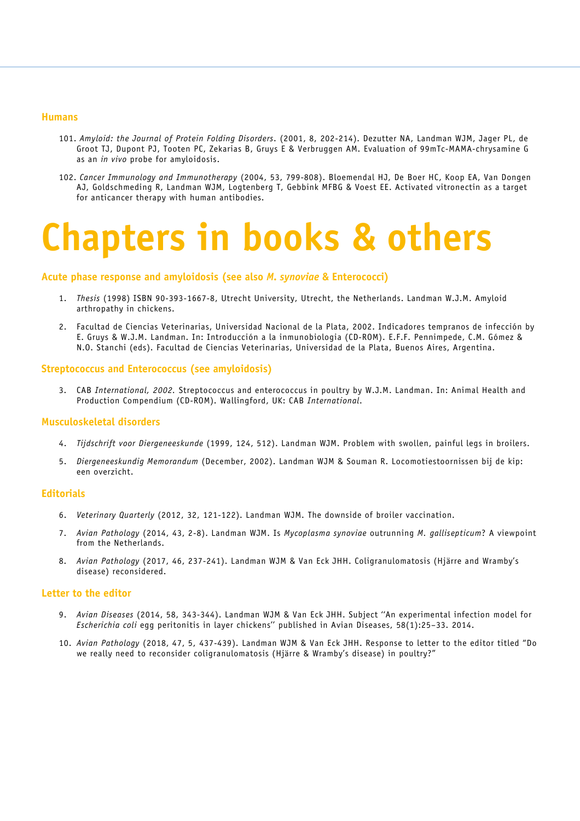#### **Humans**

- 101. *Amyloid: the Journal of Protein Folding Disorders*. (2001, 8, 202-214). Dezutter NA, Landman WJM, Jager PL, de Groot TJ, Dupont PJ, Tooten PC, Zekarias B, Gruys E & Verbruggen AM. Evaluation of 99mTc-MAMA-chrysamine G as an *in vivo* probe for amyloidosis.
- 102. *Cancer Immunology and Immunotherapy* (2004, 53, 799-808). Bloemendal HJ, De Boer HC, Koop EA, Van Dongen AJ, Goldschmeding R, Landman WJM, Logtenberg T, Gebbink MFBG & Voest EE. Activated vitronectin as a target for anticancer therapy with human antibodies.

## **Chapters in books & others**

### **Acute phase response and amyloidosis (see also** *M. synoviae* **& Enterococci)**

- 1. *Thesis* (1998) ISBN 90-393-1667-8, Utrecht University, Utrecht, the Netherlands. Landman W.J.M. Amyloid arthropathy in chickens.
- 2. Facultad de Ciencias Veterinarias, Universidad Nacional de la Plata, 2002. Indicadores tempranos de infección by E. Gruys & W.J.M. Landman. In: Introducción a la inmunobiologia (CD-ROM). E.F.F. Pennimpede, C.M. Gómez & N.O. Stanchi (eds). Facultad de Ciencias Veterinarias, Universidad de la Plata, Buenos Aires, Argentina.

#### **Streptococcus and Enterococcus (see amyloidosis)**

3. CAB *International, 2002.* Streptococcus and enterococcus in poultry by W.J.M. Landman. In: Animal Health and Production Compendium (CD-ROM). Wallingford, UK: CAB *International*.

## **Musculoskeletal disorders**

- 4. *Tijdschrift voor Diergeneeskunde* (1999, 124, 512). Landman WJM. Problem with swollen, painful legs in broilers.
- 5. *Diergeneeskundig Memorandum* (December, 2002). Landman WJM & Souman R. Locomotiestoornissen bij de kip: een overzicht.

#### **Editorials**

- 6. *Veterinary Quarterly* (2012, 32, 121-122). Landman WJM. The downside of broiler vaccination.
- 7. *Avian Pathology* (2014, 43, 2-8). Landman WJM. Is *Mycoplasma synoviae* outrunning *M. gallisepticum*? A viewpoint from the Netherlands.
- 8. *Avian Pathology* (2017, 46, 237-241). Landman WJM & Van Eck JHH. Coligranulomatosis (Hjärre and Wramby's disease) reconsidered.

#### **Letter to the editor**

- 9. *Avian Diseases* (2014, 58, 343-344). Landman WJM & Van Eck JHH. Subject ''An experimental infection model for *Escherichia coli* egg peritonitis in layer chickens'' published in Avian Diseases, 58(1):25–33. 2014.
- 10. *Avian Pathology* (2018, 47, 5, 437-439). Landman WJM & Van Eck JHH. Response to letter to the editor titled "Do we really need to reconsider coligranulomatosis (Hjärre & Wramby's disease) in poultry?"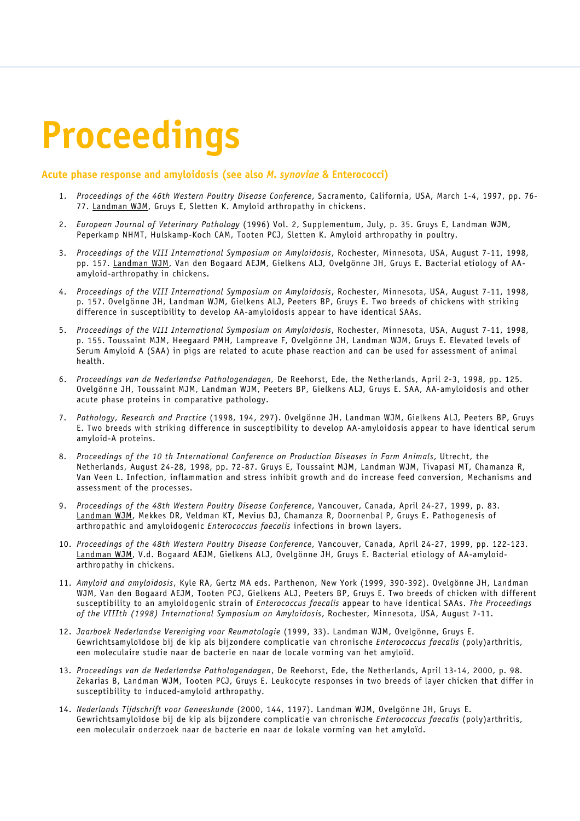# **Proceedings**

## **Acute phase response and amyloidosis (see also** *M. synoviae* **& Enterococci)**

- 1. *Proceedings of the 46th Western Poultry Disease Conference*, Sacramento, California, USA, March 1-4, 1997, pp. 76- 77. Landman WJM, Gruys E, Sletten K. Amyloid arthropathy in chickens.
- 2. *European Journal of Veterinary Pathology* (1996) Vol. 2, Supplementum, July, p. 35. Gruys E, Landman WJM, Peperkamp NHMT, Hulskamp-Koch CAM, Tooten PCJ, Sletten K. Amyloid arthropathy in poultry.
- 3. *Proceedings of the VIII International Symposium on Amyloidosis*, Rochester, Minnesota, USA, August 7-11, 1998, pp. 157. Landman WJM, Van den Bogaard AEJM, Gielkens ALJ, Ovelgönne JH, Gruys E. Bacterial etiology of AAamyloid-arthropathy in chickens.
- 4. *Proceedings of the VIII International Symposium on Amyloidosis*, Rochester, Minnesota, USA, August 7-11, 1998, p. 157. Ovelgönne JH, Landman WJM, Gielkens ALJ, Peeters BP, Gruys E. Two breeds of chickens with striking difference in susceptibility to develop AA-amyloidosis appear to have identical SAAs.
- 5. *Proceedings of the VIII International Symposium on Amyloidosis*, Rochester, Minnesota, USA, August 7-11, 1998, p. 155. Toussaint MJM, Heegaard PMH, Lampreave F, Ovelgönne JH, Landman WJM, Gruys E. Elevated levels of Serum Amyloid A (SAA) in pigs are related to acute phase reaction and can be used for assessment of animal health.
- 6. *Proceedings van de Nederlandse Pathologendagen,* De Reehorst, Ede, the Netherlands, April 2-3, 1998, pp. 125. Ovelgönne JH, Toussaint MJM, Landman WJM, Peeters BP, Gielkens ALJ, Gruys E. SAA, AA-amyloidosis and other acute phase proteins in comparative pathology.
- 7. *Pathology, Research and Practice* (1998, 194, 297). Ovelgönne JH, Landman WJM, Gielkens ALJ, Peeters BP, Gruys E. Two breeds with striking difference in susceptibility to develop AA-amyloidosis appear to have identical serum amyloid-A proteins.
- 8. *Proceedings of the 10 th International Conference on Production Diseases in Farm Animals*, Utrecht, the Netherlands, August 24-28, 1998, pp. 72-87. Gruys E, Toussaint MJM, Landman WJM, Tivapasi MT, Chamanza R, Van Veen L. Infection, inflammation and stress inhibit growth and do increase feed conversion, Mechanisms and assessment of the processes.
- 9. *Proceedings of the 48th Western Poultry Disease Conference*, Vancouver, Canada, April 24-27, 1999, p. 83. Landman WJM, Mekkes DR, Veldman KT, Mevius DJ, Chamanza R, Doornenbal P, Gruys E. Pathogenesis of arthropathic and amyloidogenic *Enterococcus faecalis* infections in brown layers.
- 10. *Proceedings of the 48th Western Poultry Disease Conference*, Vancouver, Canada, April 24-27, 1999, pp. 122-123. Landman WJM, V.d. Bogaard AEJM, Gielkens ALJ, Ovelgönne JH, Gruys E. Bacterial etiology of AA-amyloidarthropathy in chickens.
- 11. *Amyloid and amyloidosis*, Kyle RA, Gertz MA eds. Parthenon, New York (1999, 390-392). Ovelgönne JH, Landman WJM, Van den Bogaard AEJM, Tooten PCJ, Gielkens ALJ, Peeters BP, Gruys E. Two breeds of chicken with different susceptibility to an amyloidogenic strain of *Enterococcus faecalis* appear to have identical SAAs. *The Proceedings of the VIIIth (1998) International Symposium on Amyloidosis*, Rochester, Minnesota, USA, August 7-11.
- 12. *Jaarboek Nederlandse Vereniging voor Reumatologie* (1999, 33). Landman WJM, Ovelgönne, Gruys E. Gewrichtsamyloïdose bij de kip als bijzondere complicatie van chronische *Enterococcus faecalis* (poly)arthritis, een moleculaire studie naar de bacterie en naar de locale vorming van het amyloïd.
- 13. *Proceedings van de Nederlandse Pathologendagen*, De Reehorst, Ede, the Netherlands, April 13-14, 2000, p. 98. Zekarias B, Landman WJM, Tooten PCJ, Gruys E. Leukocyte responses in two breeds of layer chicken that differ in susceptibility to induced-amyloid arthropathy.
- 14. *Nederlands Tijdschrift voor Geneeskunde* (2000, 144, 1197). Landman WJM, Ovelgönne JH, Gruys E. Gewrichtsamyloïdose bij de kip als bijzondere complicatie van chronische *Enterococcus faecalis* (poly)arthritis, een moleculair onderzoek naar de bacterie en naar de lokale vorming van het amyloïd.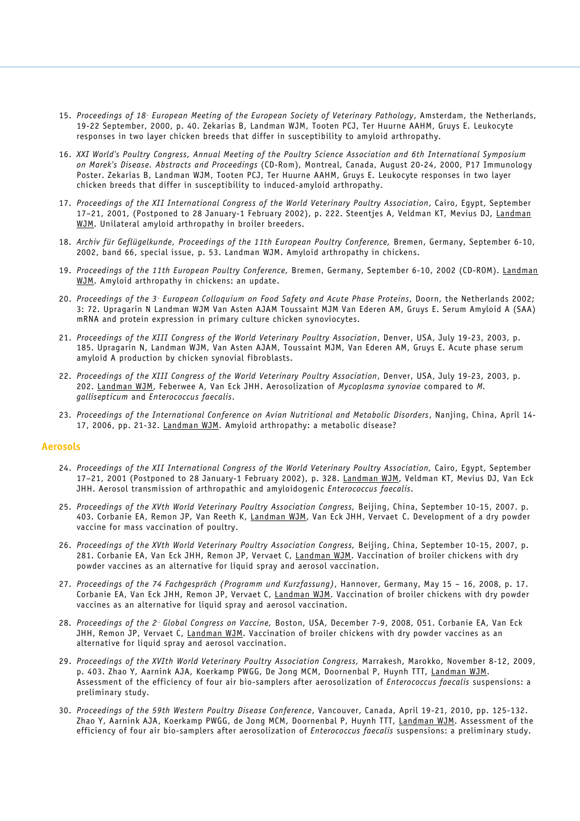- 15. Proceedings of 18<sup>th</sup> European Meeting of the European Society of Veterinary Pathology, Amsterdam, the Netherlands, 19-22 September, 2000, p. 40. Zekarias B, Landman WJM, Tooten PCJ, Ter Huurne AAHM, Gruys E. Leukocyte responses in two layer chicken breeds that differ in susceptibility to amyloid arthropathy.
- 16. *XXI World's Poultry Congress, Annual Meeting of the Poultry Science Association and 6th International Symposium on Marek's Disease. Abstracts and Proceedings* (CD-Rom), Montreal, Canada, August 20-24, 2000, P17 Immunology Poster. Zekarias B, Landman WJM, Tooten PCJ, Ter Huurne AAHM, Gruys E. Leukocyte responses in two layer chicken breeds that differ in susceptibility to induced-amyloid arthropathy.
- 17. *Proceedings of the XII International Congress of the World Veterinary Poultry Association*, Cairo, Egypt, September 17-21, 2001, (Postponed to 28 January-1 February 2002), p. 222. Steentjes A, Veldman KT, Mevius DJ, Landman WJM. Unilateral amyloid arthropathy in broiler breeders.
- 18. *Archiv für Geflügelkunde, Proceedings of the 11th European Poultry Conference,* Bremen, Germany, September 6-10, 2002, band 66, special issue, p. 53. Landman WJM. Amyloid arthropathy in chickens.
- 19. *Proceedings of the 11th European Poultry Conference,* Bremen, Germany, September 6-10, 2002 (CD-ROM). Landman WJM. Amyloid arthropathy in chickens: an update.
- 20. *Proceedings of the 3r d European Colloquium on Food Safety and Acute Phase Proteins*, Doorn, the Netherlands 2002; 3: 72. Upragarin N Landman WJM Van Asten AJAM Toussaint MJM Van Ederen AM, Gruys E. Serum Amyloid A (SAA) mRNA and protein expression in primary culture chicken synoviocytes.
- 21. *Proceedings of the XIII Congress of the World Veterinary Poultry Association*, Denver, USA, July 19-23, 2003, p. 185. Upragarin N, Landman WJM, Van Asten AJAM, Toussaint MJM, Van Ederen AM, Gruys E. Acute phase serum amyloid A production by chicken synovial fibroblasts.
- 22. *Proceedings of the XIII Congress of the World Veterinary Poultry Association*, Denver, USA, July 19-23, 2003, p. 202. Landman WJM, Feberwee A, Van Eck JHH. Aerosolization of *Mycoplasma synoviae* compared to *M. gallisepticum* and *Enterococcus faecalis*.
- 23. *Proceedings of the International Conference on Avian Nutritional and Metabolic Disorders*, Nanjing, China, April 14- 17, 2006, pp. 21-32. Landman WJM. Amyloid arthropathy: a metabolic disease?

#### **Aerosols**

- 24. *Proceedings of the XII International Congress of the World Veterinary Poultry Association,* Cairo, Egypt, September 17-21, 2001 (Postponed to 28 January-1 February 2002), p. 328. Landman WJM, Veldman KT, Mevius DJ, Van Eck JHH. Aerosol transmission of arthropathic and amyloidogenic *Enterococcus faecalis*.
- 25. *Proceedings of the XVth World Veterinary Poultry Association Congress,* Beijing, China, September 10-15, 2007. p. 403. Corbanie EA, Remon JP, Van Reeth K, Landman WJM, Van Eck JHH, Vervaet C. Development of a dry powder vaccine for mass vaccination of poultry.
- 26. *Proceedings of the XVth World Veterinary Poultry Association Congress,* Beijing, China, September 10-15, 2007, p. 281. Corbanie EA, Van Eck JHH, Remon JP, Vervaet C, Landman WJM. Vaccination of broiler chickens with dry powder vaccines as an alternative for liquid spray and aerosol vaccination.
- 27. *Proceedings of the 74 Fachgespräch (Programm und Kurzfassung)*, Hannover, Germany, May 15 16, 2008, p. 17. Corbanie EA, Van Eck JHH, Remon JP, Vervaet C, Landman WJM. Vaccination of broiler chickens with dry powder vaccines as an alternative for liquid spray and aerosol vaccination.
- 28. *Proceedings of the 2n d Global Congress on Vaccine,* Boston, USA, December 7-9, 2008, O51. Corbanie EA, Van Eck JHH, Remon JP, Vervaet C, Landman WJM. Vaccination of broiler chickens with dry powder vaccines as an alternative for liquid spray and aerosol vaccination.
- 29. *Proceedings of the XVIth World Veterinary Poultry Association Congress,* Marrakesh, Marokko, November 8-12, 2009, p. 403. Zhao Y, Aarnink AJA, Koerkamp PWGG, De Jong MCM, Doornenbal P, Huynh TTT, Landman WJM. Assessment of the efficiency of four air bio-samplers after aerosolization of *Enterococcus faecalis* suspensions: a preliminary study.
- 30. *Proceedings of the 59th Western Poultry Disease Conference*, Vancouver, Canada, April 19-21, 2010, pp. 125-132. Zhao Y, Aarnink AJA, Koerkamp PWGG, de Jong MCM, Doornenbal P, Huynh TTT, Landman WJM. Assessment of the efficiency of four air bio-samplers after aerosolization of *Enterococcus faecalis* suspensions: a preliminary study.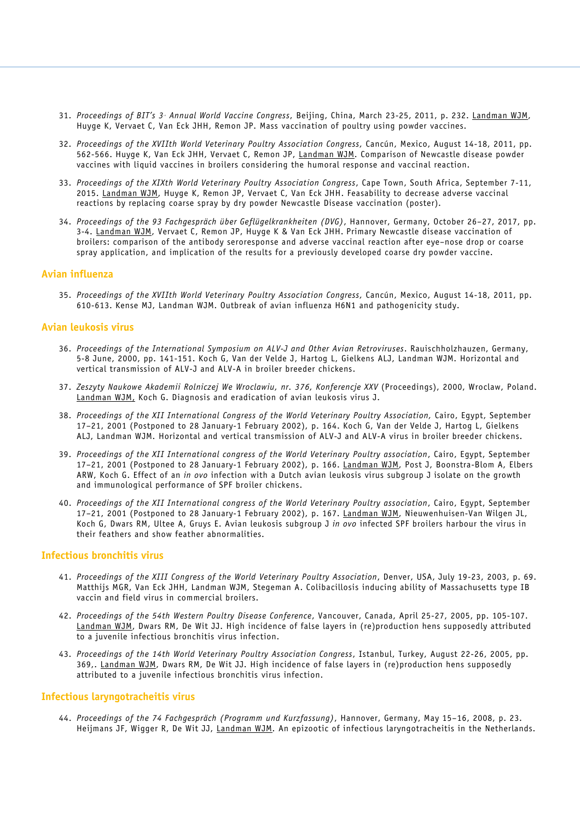- 31. *Proceedings of BIT's 3r d Annual World Vaccine Congress*, Beijing, China, March 23-25, 2011, p. 232. Landman WJM, Huyge K, Vervaet C, Van Eck JHH, Remon JP. Mass vaccination of poultry using powder vaccines.
- 32. *Proceedings of the XVIIth World Veterinary Poultry Association Congress,* Cancún, Mexico, August 14-18, 2011, pp. 562-566. Huyge K, Van Eck JHH, Vervaet C, Remon JP, Landman WJM. Comparison of Newcastle disease powder vaccines with liquid vaccines in broilers considering the humoral response and vaccinal reaction.
- 33. *Proceedings of the XIXth World Veterinary Poultry Association Congress*, Cape Town, South Africa, September 7-11, 2015. Landman WJM, Huyge K, Remon JP, Vervaet C, Van Eck JHH. Feasability to decrease adverse vaccinal reactions by replacing coarse spray by dry powder Newcastle Disease vaccination (poster).
- 34. *Proceedings of the 93 Fachgespräch über Geflügelkrankheiten (DVG)*, Hannover, Germany, October 26–27, 2017, pp. 3-4. Landman WJM, Vervaet C, Remon JP, Huyge K & Van Eck JHH. Primary Newcastle disease vaccination of broilers: comparison of the antibody seroresponse and adverse vaccinal reaction after eye–nose drop or coarse spray application, and implication of the results for a previously developed coarse dry powder vaccine.

## **Avian influenza**

35. *Proceedings of the XVIIth World Veterinary Poultry Association Congress,* Cancún, Mexico, August 14-18, 2011, pp. 610-613. Kense MJ, Landman WJM. Outbreak of avian influenza H6N1 and pathogenicity study.

## **Avian leukosis virus**

- 36. *Proceedings of the International Symposium on ALV-J and Other Avian Retroviruses*. Rauischholzhauzen, Germany, 5-8 June, 2000, pp. 141-151. Koch G, Van der Velde J, Hartog L, Gielkens ALJ, Landman WJM. Horizontal and vertical transmission of ALV-J and ALV-A in broiler breeder chickens.
- 37. *Zeszyty Naukowe Akademii Rolniczej We Wroclawiu, nr. 376, Konferencje XXV* (Proceedings), 2000, Wroclaw, Poland. Landman WJM, Koch G. Diagnosis and eradication of avian leukosis virus J.
- 38. *Proceedings of the XII International Congress of the World Veterinary Poultry Association,* Cairo, Egypt, September 17–21, 2001 (Postponed to 28 January-1 February 2002), p. 164. Koch G, Van der Velde J, Hartog L, Gielkens ALJ, Landman WJM. Horizontal and vertical transmission of ALV-J and ALV-A virus in broiler breeder chickens.
- 39. *Proceedings of the XII International congress of the World Veterinary Poultry association*, Cairo, Egypt, September 17–21, 2001 (Postponed to 28 January-1 February 2002), p. 166. Landman WJM, Post J, Boonstra-Blom A, Elbers ARW, Koch G. Effect of an *in ovo* infection with a Dutch avian leukosis virus subgroup J isolate on the growth and immunological performance of SPF broiler chickens.
- 40. *Proceedings of the XII International congress of the World Veterinary Poultry association*, Cairo, Egypt, September 17–21, 2001 (Postponed to 28 January-1 February 2002), p. 167. Landman WJM, Nieuwenhuisen-Van Wilgen JL, Koch G, Dwars RM, Ultee A, Gruys E. Avian leukosis subgroup J *in ovo* infected SPF broilers harbour the virus in their feathers and show feather abnormalities.

## **Infectious bronchitis virus**

- 41. *Proceedings of the XIII Congress of the World Veterinary Poultry Association*, Denver, USA, July 19-23, 2003, p. 69. Matthijs MGR, Van Eck JHH, Landman WJM, Stegeman A. Colibacillosis inducing ability of Massachusetts type IB vaccin and field virus in commercial broilers.
- 42. *Proceedings of the 54th Western Poultry Disease Conference*, Vancouver, Canada, April 25-27, 2005, pp. 105-107. Landman WJM, Dwars RM, De Wit JJ. High incidence of false layers in (re)production hens supposedly attributed to a juvenile infectious bronchitis virus infection.
- 43. *Proceedings of the 14th World Veterinary Poultry Association Congress*, Istanbul, Turkey, August 22-26, 2005, pp. 369,. Landman WJM, Dwars RM, De Wit JJ. High incidence of false layers in (re)production hens supposedly attributed to a juvenile infectious bronchitis virus infection.

## **Infectious laryngotracheitis virus**

44. *Proceedings of the 74 Fachgespräch (Programm und Kurzfassung)*, Hannover, Germany, May 15–16, 2008, p. 23. Heijmans JF, Wigger R, De Wit JJ, Landman WJM. An epizootic of infectious laryngotracheitis in the Netherlands.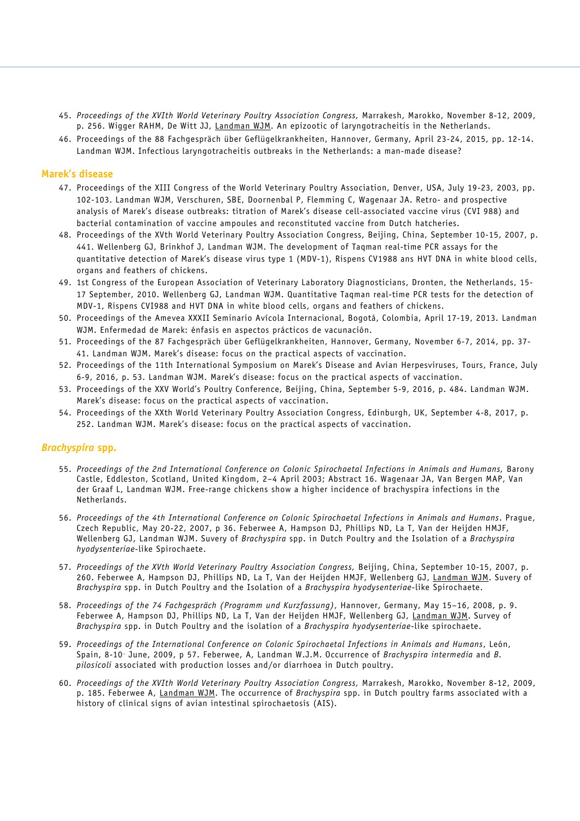- 45. *Proceedings of the XVIth World Veterinary Poultry Association Congress,* Marrakesh, Marokko, November 8-12, 2009, p. 256. Wigger RAHM, De Witt JJ, Landman WJM. An epizootic of laryngotracheitis in the Netherlands.
- 46. Proceedings of the 88 Fachgespräch über Geflügelkrankheiten, Hannover, Germany, April 23-24, 2015, pp. 12-14. Landman WJM. Infectious laryngotracheitis outbreaks in the Netherlands: a man-made disease?

### **Marek's disease**

- 47. Proceedings of the XIII Congress of the World Veterinary Poultry Association, Denver, USA, July 19-23, 2003, pp. 102-103. Landman WJM, Verschuren, SBE, Doornenbal P, Flemming C, Wagenaar JA. Retro- and prospective analysis of Marek's disease outbreaks: titration of Marek's disease cell-associated vaccine virus (CVI 988) and bacterial contamination of vaccine ampoules and reconstituted vaccine from Dutch hatcheries.
- 48. Proceedings of the XVth World Veterinary Poultry Association Congress, Beijing, China, September 10-15, 2007, p. 441. Wellenberg GJ, Brinkhof J, Landman WJM. The development of Taqman real-time PCR assays for the quantitative detection of Marek's disease virus type 1 (MDV-1), Rispens CV1988 ans HVT DNA in white blood cells, organs and feathers of chickens.
- 49. 1st Congress of the European Association of Veterinary Laboratory Diagnosticians, Dronten, the Netherlands, 15- 17 September, 2010. Wellenberg GJ, Landman WJM. Quantitative Taqman real-time PCR tests for the detection of MDV-1, Rispens CVI988 and HVT DNA in white blood cells, organs and feathers of chickens.
- 50. Proceedings of the Amevea XXXII Seminario Avícola Internacional, Bogotá, Colombia, April 17-19, 2013. Landman WJM. Enfermedad de Marek: énfasis en aspectos prácticos de vacunación.
- 51. Proceedings of the 87 Fachgespräch über Geflügelkrankheiten, Hannover, Germany, November 6-7, 2014, pp. 37- 41. Landman WJM. Marek's disease: focus on the practical aspects of vaccination.
- 52. Proceedings of the 11th International Symposium on Marek's Disease and Avian Herpesviruses, Tours, France, July 6-9, 2016, p. 53. Landman WJM. Marek's disease: focus on the practical aspects of vaccination.
- 53. Proceedings of the XXV World's Poultry Conference, Beijing, China, September 5-9, 2016, p. 484. Landman WJM. Marek's disease: focus on the practical aspects of vaccination.
- 54. Proceedings of the XXth World Veterinary Poultry Association Congress, Edinburgh, UK, September 4-8, 2017, p. 252. Landman WJM. Marek's disease: focus on the practical aspects of vaccination.

#### *Brachyspira* **spp.**

- 55. *Proceedings of the 2nd International Conference on Colonic Spirochaetal Infections in Animals and Humans,* Barony Castle, Eddleston, Scotland, United Kingdom, 2–4 April 2003; Abstract 16. Wagenaar JA, Van Bergen MAP, Van der Graaf L, Landman WJM. Free-range chickens show a higher incidence of brachyspira infections in the Netherlands.
- 56. *Proceedings of the 4th International Conference on Colonic Spirochaetal Infections in Animals and Humans*. Prague, Czech Republic, May 20-22, 2007, p 36. Feberwee A, Hampson DJ, Phillips ND, La T, Van der Heijden HMJF, Wellenberg GJ, Landman WJM. Suvery of *Brachyspira* spp. in Dutch Poultry and the Isolation of a *Brachyspira hyodysenteriae*-like Spirochaete.
- 57. *Proceedings of the XVth World Veterinary Poultry Association Congress,* Beijing, China, September 10-15, 2007, p. 260. Feberwee A, Hampson DJ, Phillips ND, La T, Van der Heijden HMJF, Wellenberg GJ, Landman WJM. Suvery of *Brachyspira* spp. in Dutch Poultry and the Isolation of a *Brachyspira hyodysenteriae*-like Spirochaete.
- 58. *Proceedings of the 74 Fachgespräch (Programm und Kurzfassung)*, Hannover, Germany, May 15–16, 2008, p. 9. Feberwee A, Hampson DJ, Phillips ND, La T, Van der Heijden HMJF, Wellenberg GJ, Landman WJM. Survey of *Brachyspira* spp. in Dutch Poultry and the isolation of a *Brachyspira hyodysenteriae*-like spirochaete.
- 59. *Proceedings of the International Conference on Colonic Spirochaetal Infections in Animals and Humans*, León, Spain, 8-10<sup>t</sup> June, 2009, p 57. Feberwee, A, Landman W.J.M. Occurrence of *Brachyspira intermedia* and *B*. *pilosicoli* associated with production losses and/or diarrhoea in Dutch poultry.
- 60. *Proceedings of the XVIth World Veterinary Poultry Association Congress,* Marrakesh, Marokko, November 8-12, 2009, p. 185. Feberwee A, Landman WJM. The occurrence of *Brachyspira* spp. in Dutch poultry farms associated with a history of clinical signs of avian intestinal spirochaetosis (AIS).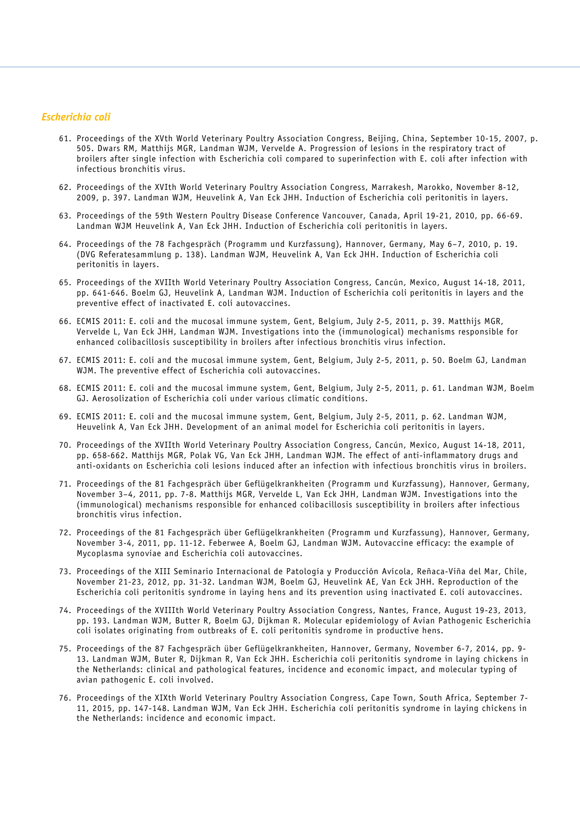## *Escherichia coli*

- 61. Proceedings of the XVth World Veterinary Poultry Association Congress, Beijing, China, September 10-15, 2007, p. 505. Dwars RM, Matthijs MGR, Landman WJM, Vervelde A. Progression of lesions in the respiratory tract of broilers after single infection with Escherichia coli compared to superinfection with E. coli after infection with infectious bronchitis virus.
- 62. Proceedings of the XVIth World Veterinary Poultry Association Congress, Marrakesh, Marokko, November 8-12, 2009, p. 397. Landman WJM, Heuvelink A, Van Eck JHH. Induction of Escherichia coli peritonitis in layers.
- 63. Proceedings of the 59th Western Poultry Disease Conference Vancouver, Canada, April 19-21, 2010, pp. 66-69. Landman WJM Heuvelink A, Van Eck JHH. Induction of Escherichia coli peritonitis in layers.
- 64. Proceedings of the 78 Fachgespräch (Programm und Kurzfassung), Hannover, Germany, May 6–7, 2010, p. 19. (DVG Referatesammlung p. 138). Landman WJM, Heuvelink A, Van Eck JHH. Induction of Escherichia coli peritonitis in layers.
- 65. Proceedings of the XVIIth World Veterinary Poultry Association Congress, Cancún, Mexico, August 14-18, 2011, pp. 641-646. Boelm GJ, Heuvelink A, Landman WJM. Induction of Escherichia coli peritonitis in layers and the preventive effect of inactivated E. coli autovaccines.
- 66. ECMIS 2011: E. coli and the mucosal immune system, Gent, Belgium, July 2-5, 2011, p. 39. Matthijs MGR, Vervelde L, Van Eck JHH, Landman WJM. Investigations into the (immunological) mechanisms responsible for enhanced colibacillosis susceptibility in broilers after infectious bronchitis virus infection.
- 67. ECMIS 2011: E. coli and the mucosal immune system, Gent, Belgium, July 2-5, 2011, p. 50. Boelm GJ, Landman WJM. The preventive effect of Escherichia coli autovaccines.
- 68. ECMIS 2011: E. coli and the mucosal immune system, Gent, Belgium, July 2-5, 2011, p. 61. Landman WJM, Boelm GJ. Aerosolization of Escherichia coli under various climatic conditions.
- 69. ECMIS 2011: E. coli and the mucosal immune system, Gent, Belgium, July 2-5, 2011, p. 62. Landman WJM, Heuvelink A, Van Eck JHH. Development of an animal model for Escherichia coli peritonitis in layers.
- 70. Proceedings of the XVIIth World Veterinary Poultry Association Congress, Cancún, Mexico, August 14-18, 2011, pp. 658-662. Matthijs MGR, Polak VG, Van Eck JHH, Landman WJM. The effect of anti-inflammatory drugs and anti-oxidants on Escherichia coli lesions induced after an infection with infectious bronchitis virus in broilers.
- 71. Proceedings of the 81 Fachgespräch über Geflügelkrankheiten (Programm und Kurzfassung), Hannover, Germany, November 3–4, 2011, pp. 7-8. Matthijs MGR, Vervelde L, Van Eck JHH, Landman WJM. Investigations into the (immunological) mechanisms responsible for enhanced colibacillosis susceptibility in broilers after infectious bronchitis virus infection.
- 72. Proceedings of the 81 Fachgespräch über Geflügelkrankheiten (Programm und Kurzfassung), Hannover, Germany, November 3-4, 2011, pp. 11-12. Feberwee A, Boelm GJ, Landman WJM. Autovaccine efficacy: the example of Mycoplasma synoviae and Escherichia coli autovaccines.
- 73. Proceedings of the XIII Seminario Internacional de Patología y Producción Avícola, Reñaca-Viña del Mar, Chile, November 21-23, 2012, pp. 31-32. Landman WJM, Boelm GJ, Heuvelink AE, Van Eck JHH. Reproduction of the Escherichia coli peritonitis syndrome in laying hens and its prevention using inactivated E. coli autovaccines.
- 74. Proceedings of the XVIIIth World Veterinary Poultry Association Congress, Nantes, France, August 19-23, 2013, pp. 193. Landman WJM, Butter R, Boelm GJ, Dijkman R. Molecular epidemiology of Avian Pathogenic Escherichia coli isolates originating from outbreaks of E. coli peritonitis syndrome in productive hens.
- 75. Proceedings of the 87 Fachgespräch über Geflügelkrankheiten, Hannover, Germany, November 6-7, 2014, pp. 9- 13. Landman WJM, Buter R, Dijkman R, Van Eck JHH. Escherichia coli peritonitis syndrome in laying chickens in the Netherlands: clinical and pathological features, incidence and economic impact, and molecular typing of avian pathogenic E. coli involved.
- 76. Proceedings of the XIXth World Veterinary Poultry Association Congress, Cape Town, South Africa, September 7- 11, 2015, pp. 147-148. Landman WJM, Van Eck JHH. Escherichia coli peritonitis syndrome in laying chickens in the Netherlands: incidence and economic impact.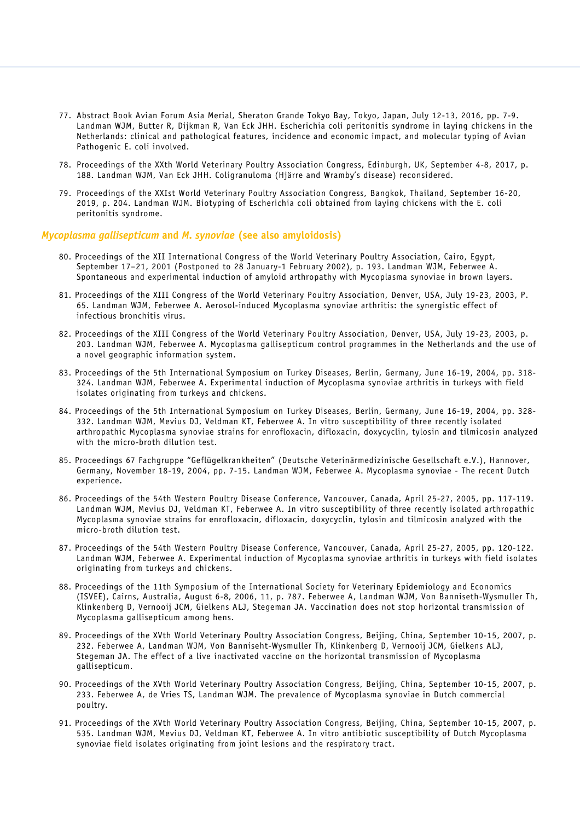- 77. Abstract Book Avian Forum Asia Merial, Sheraton Grande Tokyo Bay, Tokyo, Japan, July 12-13, 2016, pp. 7-9. Landman WJM, Butter R, Dijkman R, Van Eck JHH. Escherichia coli peritonitis syndrome in laying chickens in the Netherlands: clinical and pathological features, incidence and economic impact, and molecular typing of Avian Pathogenic E. coli involved.
- 78. Proceedings of the XXth World Veterinary Poultry Association Congress, Edinburgh, UK, September 4-8, 2017, p. 188. Landman WJM, Van Eck JHH. Coligranuloma (Hjärre and Wramby's disease) reconsidered.
- 79. Proceedings of the XXIst World Veterinary Poultry Association Congress, Bangkok, Thailand, September 16-20, 2019, p. 204. Landman WJM. Biotyping of Escherichia coli obtained from laying chickens with the E. coli peritonitis syndrome.

#### *Mycoplasma gallisepticum* **and** *M. synoviae* **(see also amyloidosis)**

- 80. Proceedings of the XII International Congress of the World Veterinary Poultry Association, Cairo, Egypt, September 17–21, 2001 (Postponed to 28 January-1 February 2002), p. 193. Landman WJM, Feberwee A. Spontaneous and experimental induction of amyloid arthropathy with Mycoplasma synoviae in brown layers.
- 81. Proceedings of the XIII Congress of the World Veterinary Poultry Association, Denver, USA, July 19-23, 2003, P. 65. Landman WJM, Feberwee A. Aerosol-induced Mycoplasma synoviae arthritis: the synergistic effect of infectious bronchitis virus.
- 82. Proceedings of the XIII Congress of the World Veterinary Poultry Association, Denver, USA, July 19-23, 2003, p. 203. Landman WJM, Feberwee A. Mycoplasma gallisepticum control programmes in the Netherlands and the use of a novel geographic information system.
- 83. Proceedings of the 5th International Symposium on Turkey Diseases, Berlin, Germany, June 16-19, 2004, pp. 318- 324. Landman WJM, Feberwee A. Experimental induction of Mycoplasma synoviae arthritis in turkeys with field isolates originating from turkeys and chickens.
- 84. Proceedings of the 5th International Symposium on Turkey Diseases, Berlin, Germany, June 16-19, 2004, pp. 328- 332. Landman WJM, Mevius DJ, Veldman KT, Feberwee A. In vitro susceptibility of three recently isolated arthropathic Mycoplasma synoviae strains for enrofloxacin, difloxacin, doxycyclin, tylosin and tilmicosin analyzed with the micro-broth dilution test.
- 85. Proceedings 67 Fachgruppe "Geflügelkrankheiten" (Deutsche Veterinärmedizinische Gesellschaft e.V.), Hannover, Germany, November 18-19, 2004, pp. 7-15. Landman WJM, Feberwee A. Mycoplasma synoviae - The recent Dutch experience.
- 86. Proceedings of the 54th Western Poultry Disease Conference, Vancouver, Canada, April 25-27, 2005, pp. 117-119. Landman WJM, Mevius DJ, Veldman KT, Feberwee A. In vitro susceptibility of three recently isolated arthropathic Mycoplasma synoviae strains for enrofloxacin, difloxacin, doxycyclin, tylosin and tilmicosin analyzed with the micro-broth dilution test.
- 87. Proceedings of the 54th Western Poultry Disease Conference, Vancouver, Canada, April 25-27, 2005, pp. 120-122. Landman WJM, Feberwee A. Experimental induction of Mycoplasma synoviae arthritis in turkeys with field isolates originating from turkeys and chickens.
- 88. Proceedings of the 11th Symposium of the International Society for Veterinary Epidemiology and Economics (ISVEE), Cairns, Australia, August 6-8, 2006, 11, p. 787. Feberwee A, Landman WJM, Von Banniseth-Wysmuller Th, Klinkenberg D, Vernooij JCM, Gielkens ALJ, Stegeman JA. Vaccination does not stop horizontal transmission of Mycoplasma gallisepticum among hens.
- 89. Proceedings of the XVth World Veterinary Poultry Association Congress, Beijing, China, September 10-15, 2007, p. 232. Feberwee A, Landman WJM, Von Banniseht-Wysmuller Th, Klinkenberg D, Vernooij JCM, Gielkens ALJ, Stegeman JA. The effect of a live inactivated vaccine on the horizontal transmission of Mycoplasma gallisepticum.
- 90. Proceedings of the XVth World Veterinary Poultry Association Congress, Beijing, China, September 10-15, 2007, p. 233. Feberwee A, de Vries TS, Landman WJM. The prevalence of Mycoplasma synoviae in Dutch commercial poultry.
- 91. Proceedings of the XVth World Veterinary Poultry Association Congress, Beijing, China, September 10-15, 2007, p. 535. Landman WJM, Mevius DJ, Veldman KT, Feberwee A. In vitro antibiotic susceptibility of Dutch Mycoplasma synoviae field isolates originating from joint lesions and the respiratory tract.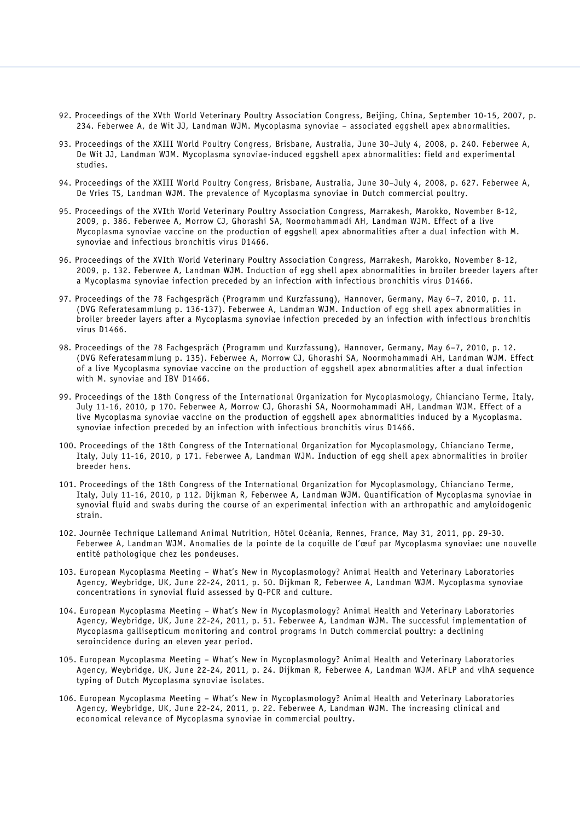- 92. Proceedings of the XVth World Veterinary Poultry Association Congress, Beijing, China, September 10-15, 2007, p. 234. Feberwee A, de Wit JJ, Landman WJM. Mycoplasma synoviae – associated eggshell apex abnormalities.
- 93. Proceedings of the XXIII World Poultry Congress, Brisbane, Australia, June 30–July 4, 2008, p. 240. Feberwee A, De Wit JJ, Landman WJM. Mycoplasma synoviae-induced eggshell apex abnormalities: field and experimental studies.
- 94. Proceedings of the XXIII World Poultry Congress, Brisbane, Australia, June 30–July 4, 2008, p. 627. Feberwee A, De Vries TS, Landman WJM. The prevalence of Mycoplasma synoviae in Dutch commercial poultry.
- 95. Proceedings of the XVIth World Veterinary Poultry Association Congress, Marrakesh, Marokko, November 8-12, 2009, p. 386. Feberwee A, Morrow CJ, Ghorashi SA, Noormohammadi AH, Landman WJM. Effect of a live Mycoplasma synoviae vaccine on the production of eggshell apex abnormalities after a dual infection with M. synoviae and infectious bronchitis virus D1466.
- 96. Proceedings of the XVIth World Veterinary Poultry Association Congress, Marrakesh, Marokko, November 8-12, 2009, p. 132. Feberwee A, Landman WJM. Induction of egg shell apex abnormalities in broiler breeder layers after a Mycoplasma synoviae infection preceded by an infection with infectious bronchitis virus D1466.
- 97. Proceedings of the 78 Fachgespräch (Programm und Kurzfassung), Hannover, Germany, May 6–7, 2010, p. 11. (DVG Referatesammlung p. 136-137). Feberwee A, Landman WJM. Induction of egg shell apex abnormalities in broiler breeder layers after a Mycoplasma synoviae infection preceded by an infection with infectious bronchitis virus D1466.
- 98. Proceedings of the 78 Fachgespräch (Programm und Kurzfassung), Hannover, Germany, May 6–7, 2010, p. 12. (DVG Referatesammlung p. 135). Feberwee A, Morrow CJ, Ghorashi SA, Noormohammadi AH, Landman WJM. Effect of a live Mycoplasma synoviae vaccine on the production of eggshell apex abnormalities after a dual infection with M. synoviae and IBV D1466.
- 99. Proceedings of the 18th Congress of the International Organization for Mycoplasmology, Chianciano Terme, Italy, July 11-16, 2010, p 170. Feberwee A, Morrow CJ, Ghorashi SA, Noormohammadi AH, Landman WJM. Effect of a live Mycoplasma synoviae vaccine on the production of eggshell apex abnormalities induced by a Mycoplasma. synoviae infection preceded by an infection with infectious bronchitis virus D1466.
- 100. Proceedings of the 18th Congress of the International Organization for Mycoplasmology, Chianciano Terme, Italy, July 11-16, 2010, p 171. Feberwee A, Landman WJM. Induction of egg shell apex abnormalities in broiler breeder hens.
- 101. Proceedings of the 18th Congress of the International Organization for Mycoplasmology, Chianciano Terme, Italy, July 11-16, 2010, p 112. Dijkman R, Feberwee A, Landman WJM. Quantification of Mycoplasma synoviae in synovial fluid and swabs during the course of an experimental infection with an arthropathic and amyloidogenic strain.
- 102. Journée Technique Lallemand Animal Nutrition, Hôtel Océania, Rennes, France, May 31, 2011, pp. 29-30. Feberwee A, Landman WJM. Anomalies de la pointe de la coquille de l'œuf par Mycoplasma synoviae: une nouvelle entité pathologique chez les pondeuses.
- 103. European Mycoplasma Meeting What's New in Mycoplasmology? Animal Health and Veterinary Laboratories Agency, Weybridge, UK, June 22-24, 2011, p. 50. Dijkman R, Feberwee A, Landman WJM. Mycoplasma synoviae concentrations in synovial fluid assessed by Q-PCR and culture.
- 104. European Mycoplasma Meeting What's New in Mycoplasmology? Animal Health and Veterinary Laboratories Agency, Weybridge, UK, June 22-24, 2011, p. 51. Feberwee A, Landman WJM. The successful implementation of Mycoplasma gallisepticum monitoring and control programs in Dutch commercial poultry: a declining seroincidence during an eleven year period.
- 105. European Mycoplasma Meeting What's New in Mycoplasmology? Animal Health and Veterinary Laboratories Agency, Weybridge, UK, June 22-24, 2011, p. 24. Dijkman R, Feberwee A, Landman WJM. AFLP and vlhA sequence typing of Dutch Mycoplasma synoviae isolates.
- 106. European Mycoplasma Meeting What's New in Mycoplasmology? Animal Health and Veterinary Laboratories Agency, Weybridge, UK, June 22-24, 2011, p. 22. Feberwee A, Landman WJM. The increasing clinical and economical relevance of Mycoplasma synoviae in commercial poultry.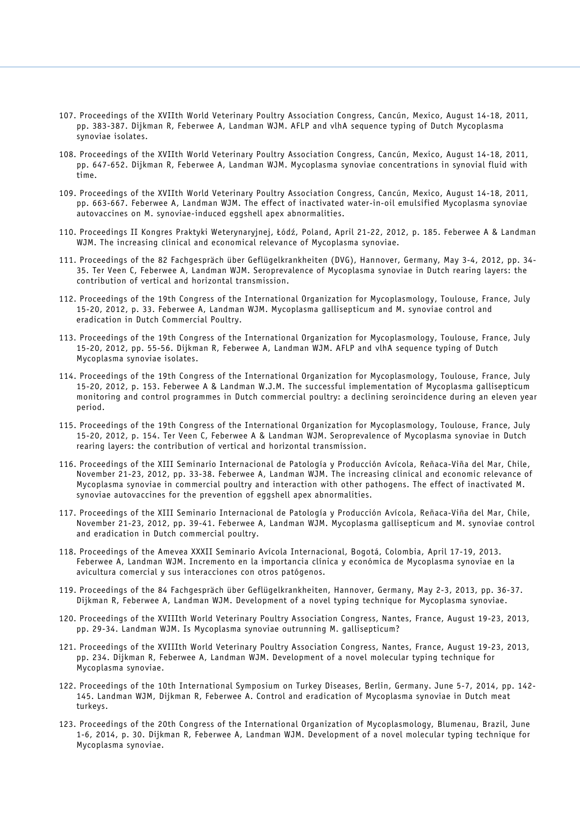- 107. Proceedings of the XVIIth World Veterinary Poultry Association Congress, Cancún, Mexico, August 14-18, 2011, pp. 383-387. Dijkman R, Feberwee A, Landman WJM. AFLP and vlhA sequence typing of Dutch Mycoplasma synoviae isolates.
- 108. Proceedings of the XVIIth World Veterinary Poultry Association Congress, Cancún, Mexico, August 14-18, 2011, pp. 647-652. Dijkman R, Feberwee A, Landman WJM. Mycoplasma synoviae concentrations in synovial fluid with time.
- 109. Proceedings of the XVIIth World Veterinary Poultry Association Congress, Cancún, Mexico, August 14-18, 2011, pp. 663-667. Feberwee A, Landman WJM. The effect of inactivated water-in-oil emulsified Mycoplasma synoviae autovaccines on M. synoviae-induced eggshell apex abnormalities.
- 110. Proceedings II Kongres Praktyki Weterynaryjnej, Łódź, Poland, April 21-22, 2012, p. 185. Feberwee A & Landman WJM. The increasing clinical and economical relevance of Mycoplasma synoviae.
- 111. Proceedings of the 82 Fachgespräch über Geflügelkrankheiten (DVG), Hannover, Germany, May 3-4, 2012, pp. 34- 35. Ter Veen C, Feberwee A, Landman WJM. Seroprevalence of Mycoplasma synoviae in Dutch rearing layers: the contribution of vertical and horizontal transmission.
- 112. Proceedings of the 19th Congress of the International Organization for Mycoplasmology, Toulouse, France, July 15-20, 2012, p. 33. Feberwee A, Landman WJM. Mycoplasma gallisepticum and M. synoviae control and eradication in Dutch Commercial Poultry.
- 113. Proceedings of the 19th Congress of the International Organization for Mycoplasmology, Toulouse, France, July 15-20, 2012, pp. 55-56. Dijkman R, Feberwee A, Landman WJM. AFLP and vlhA sequence typing of Dutch Mycoplasma synoviae isolates.
- 114. Proceedings of the 19th Congress of the International Organization for Mycoplasmology, Toulouse, France, July 15-20, 2012, p. 153. Feberwee A & Landman W.J.M. The successful implementation of Mycoplasma gallisepticum monitoring and control programmes in Dutch commercial poultry: a declining seroincidence during an eleven year period.
- 115. Proceedings of the 19th Congress of the International Organization for Mycoplasmology, Toulouse, France, July 15-20, 2012, p. 154. Ter Veen C, Feberwee A & Landman WJM. Seroprevalence of Mycoplasma synoviae in Dutch rearing layers: the contribution of vertical and horizontal transmission.
- 116. Proceedings of the XIII Seminario Internacional de Patología y Producción Avícola, Reñaca-Viña del Mar, Chile, November 21-23, 2012, pp. 33-38. Feberwee A, Landman WJM. The increasing clinical and economic relevance of Mycoplasma synoviae in commercial poultry and interaction with other pathogens. The effect of inactivated M. synoviae autovaccines for the prevention of eggshell apex abnormalities.
- 117. Proceedings of the XIII Seminario Internacional de Patología y Producción Avícola, Reñaca-Viña del Mar, Chile, November 21-23, 2012, pp. 39-41. Feberwee A, Landman WJM. Mycoplasma gallisepticum and M. synoviae control and eradication in Dutch commercial poultry.
- 118. Proceedings of the Amevea XXXII Seminario Avícola Internacional, Bogotá, Colombia, April 17-19, 2013. Feberwee A, Landman WJM. Incremento en la importancia clínica y económica de Mycoplasma synoviae en la avicultura comercial y sus interacciones con otros patógenos.
- 119. Proceedings of the 84 Fachgespräch über Geflügelkrankheiten, Hannover, Germany, May 2-3, 2013, pp. 36-37. Dijkman R, Feberwee A, Landman WJM. Development of a novel typing technique for Mycoplasma synoviae.
- 120. Proceedings of the XVIIIth World Veterinary Poultry Association Congress, Nantes, France, August 19-23, 2013, pp. 29-34. Landman WJM. Is Mycoplasma synoviae outrunning M. gallisepticum?
- 121. Proceedings of the XVIIIth World Veterinary Poultry Association Congress, Nantes, France, August 19-23, 2013, pp. 234. Dijkman R, Feberwee A, Landman WJM. Development of a novel molecular typing technique for Mycoplasma synoviae.
- 122. Proceedings of the 10th International Symposium on Turkey Diseases, Berlin, Germany. June 5-7, 2014, pp. 142- 145. Landman WJM, Dijkman R, Feberwee A. Control and eradication of Mycoplasma synoviae in Dutch meat turkeys.
- 123. Proceedings of the 20th Congress of the International Organization of Mycoplasmology, Blumenau, Brazil, June 1-6, 2014, p. 30. Dijkman R, Feberwee A, Landman WJM. Development of a novel molecular typing technique for Mycoplasma synoviae.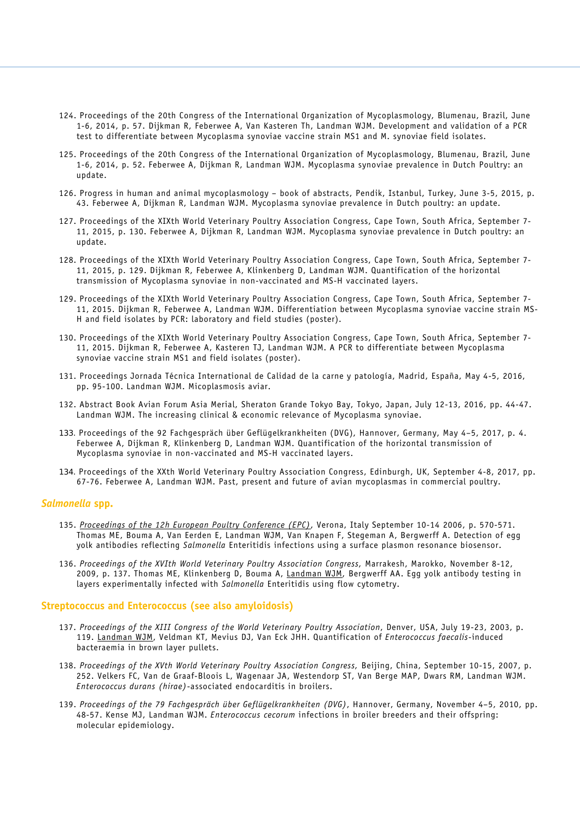- 124. Proceedings of the 20th Congress of the International Organization of Mycoplasmology, Blumenau, Brazil, June 1-6, 2014, p. 57. Dijkman R, Feberwee A, Van Kasteren Th, Landman WJM. Development and validation of a PCR test to differentiate between Mycoplasma synoviae vaccine strain MS1 and M. synoviae field isolates.
- 125. Proceedings of the 20th Congress of the International Organization of Mycoplasmology, Blumenau, Brazil, June 1-6, 2014, p. 52. Feberwee A, Dijkman R, Landman WJM. Mycoplasma synoviae prevalence in Dutch Poultry: an update.
- 126. Progress in human and animal mycoplasmology book of abstracts, Pendik, Istanbul, Turkey, June 3-5, 2015, p. 43. Feberwee A, Dijkman R, Landman WJM. Mycoplasma synoviae prevalence in Dutch poultry: an update.
- 127. Proceedings of the XIXth World Veterinary Poultry Association Congress, Cape Town, South Africa, September 7- 11, 2015, p. 130. Feberwee A, Dijkman R, Landman WJM. Mycoplasma synoviae prevalence in Dutch poultry: an update.
- 128. Proceedings of the XIXth World Veterinary Poultry Association Congress, Cape Town, South Africa, September 7- 11, 2015, p. 129. Dijkman R, Feberwee A, Klinkenberg D, Landman WJM. Quantification of the horizontal transmission of Mycoplasma synoviae in non-vaccinated and MS-H vaccinated layers.
- 129. Proceedings of the XIXth World Veterinary Poultry Association Congress, Cape Town, South Africa, September 7- 11, 2015. Dijkman R, Feberwee A, Landman WJM. Differentiation between Mycoplasma synoviae vaccine strain MS-H and field isolates by PCR: laboratory and field studies (poster).
- 130. Proceedings of the XIXth World Veterinary Poultry Association Congress, Cape Town, South Africa, September 7- 11, 2015. Dijkman R, Feberwee A, Kasteren TJ, Landman WJM. A PCR to differentiate between Mycoplasma synoviae vaccine strain MS1 and field isolates (poster).
- 131. Proceedings Jornada Técnica International de Calidad de la carne y patología, Madrid, España, May 4-5, 2016, pp. 95-100. Landman WJM. Micoplasmosis aviar.
- 132. Abstract Book Avian Forum Asia Merial, Sheraton Grande Tokyo Bay, Tokyo, Japan, July 12-13, 2016, pp. 44-47. Landman WJM. The increasing clinical & economic relevance of Mycoplasma synoviae.
- 133. Proceedings of the 92 Fachgespräch über Geflügelkrankheiten (DVG), Hannover, Germany, May 4–5, 2017, p. 4. Feberwee A, Dijkman R, Klinkenberg D, Landman WJM. Quantification of the horizontal transmission of Mycoplasma synoviae in non-vaccinated and MS-H vaccinated layers.
- 134. Proceedings of the XXth World Veterinary Poultry Association Congress, Edinburgh, UK, September 4-8, 2017, pp. 67-76. Feberwee A, Landman WJM. Past, present and future of avian mycoplasmas in commercial poultry.

## *Salmonella* **spp.**

- 135. *[Proceedings of the 12h European Poultry Conference \(EPC\)](http://www.sciquest.org.nz/default.asp?pageid=97/t_blank)*, Verona, Italy September 10-14 2006, p. 570-571. Thomas ME, Bouma A, Van Eerden E, Landman WJM, Van Knapen F, Stegeman A, Bergwerff A. Detection of egg yolk antibodies reflecting *Salmonella* Enteritidis infections using a surface plasmon resonance biosensor.
- 136. *Proceedings of the XVIth World Veterinary Poultry Association Congress,* Marrakesh, Marokko, November 8-12, 2009, p. 137. Thomas ME, Klinkenberg D, Bouma A, Landman WJM, Bergwerff AA. Egg yolk antibody testing in layers experimentally infected with *Salmonella* Enteritidis using flow cytometry.

#### **Streptococcus and Enterococcus (see also amyloidosis)**

- 137. *Proceedings of the XIII Congress of the World Veterinary Poultry Association*, Denver, USA, July 19-23, 2003, p. 119. Landman WJM, Veldman KT, Mevius DJ, Van Eck JHH. Quantification of *Enterococcus faecalis*-induced bacteraemia in brown layer pullets.
- 138. *Proceedings of the XVth World Veterinary Poultry Association Congress,* Beijing, China, September 10-15, 2007, p. 252. Velkers FC, Van de Graaf-Bloois L, Wagenaar JA, Westendorp ST, Van Berge MAP, Dwars RM, Landman WJM. *Enterococcus durans (hirae)*-associated endocarditis in broilers.
- 139. *Proceedings of the 79 Fachgespräch über Geflügelkrankheiten (DVG)*, Hannover, Germany, November 4–5, 2010, pp. 48-57. Kense MJ, Landman WJM. *Enterococcus cecorum* infections in broiler breeders and their offspring: molecular epidemiology.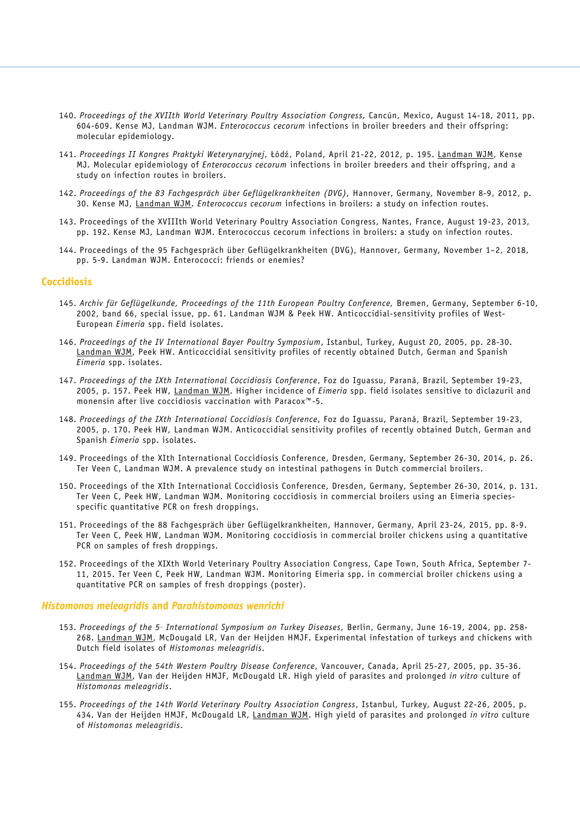- 140. *Proceedings of the XVIIth World Veterinary Poultry Association Congress,* Cancún, Mexico, August 14-18, 2011, pp. 604-609. Kense MJ, Landman WJM. *Enterococcus cecorum* infections in broiler breeders and their offspring: molecular epidemiology.
- 141. *Proceedings II Kongres Praktyki Weterynaryjnej*, Łódź, Poland, April 21-22, 2012, p. 195. Landman WJM, Kense MJ. Molecular epidemiology of *Enterococcus cecorum* infections in broiler breeders and their offspring, and a study on infection routes in broilers.
- 142. *Proceedings of the 83 Fachgespräch über Geflügelkrankheiten (DVG),* Hannover, Germany, November 8-9, 2012, p. 30. Kense MJ, Landman WJM. *Enterococcus cecorum* infections in broilers: a study on infection routes.
- 143. Proceedings of the XVIIIth World Veterinary Poultry Association Congress, Nantes, France, August 19-23, 2013, pp. 192. Kense MJ, Landman WJM. Enterococcus cecorum infections in broilers: a study on infection routes.
- 144. Proceedings of the 95 Fachgespräch über Geflügelkrankheiten (DVG), Hannover, Germany, November 1–2, 2018, pp. 5-9. Landman WJM. Enterococci: friends or enemies?

#### **Coccidiosis**

- 145. *Archiv für Geflügelkunde, Proceedings of the 11th European Poultry Conference,* Bremen, Germany, September 6-10, 2002, band 66, special issue, pp. 61. Landman WJM & Peek HW. Anticoccidial-sensitivity profiles of West-European *Eimeria* spp. field isolates.
- 146. *Proceedings of the IV International Bayer Poultry Symposium*, Istanbul, Turkey, August 20, 2005, pp. 28-30. Landman WJM, Peek HW. Anticoccidial sensitivity profiles of recently obtained Dutch, German and Spanish *Eimeria* spp. isolates.
- 147. *Proceedings of the IXth International Coccidiosis Conference*, Foz do Iguassu, Paraná, Brazil, September 19-23, 2005, p. 157. Peek HW, Landman WJM. Higher incidence of *Eimeria* spp. field isolates sensitive to diclazuril and monensin after live coccidiosis vaccination with Paracox™-5.
- 148. *Proceedings of the IXth International Coccidiosis Conference*, Foz do Iguassu, Paraná, Brazil, September 19-23, 2005, p. 170. Peek HW, Landman WJM. Anticoccidial sensitivity profiles of recently obtained Dutch, German and Spanish *Eimeria* spp. isolates.
- 149. Proceedings of the XIth International Coccidiosis Conference, Dresden, Germany, September 26-30, 2014, p. 26. Ter Veen C, Landman WJM. A prevalence study on intestinal pathogens in Dutch commercial broilers.
- 150. Proceedings of the XIth International Coccidiosis Conference, Dresden, Germany, September 26-30, 2014, p. 131. Ter Veen C, Peek HW, Landman WJM. Monitoring coccidiosis in commercial broilers using an Eimeria speciesspecific quantitative PCR on fresh droppings.
- 151. Proceedings of the 88 Fachgespräch über Geflügelkrankheiten, Hannover, Germany, April 23-24, 2015, pp. 8-9. Ter Veen C, Peek HW, Landman WJM. Monitoring coccidiosis in commercial broiler chickens using a quantitative PCR on samples of fresh droppings.
- 152. Proceedings of the XIXth World Veterinary Poultry Association Congress, Cape Town, South Africa, September 7- 11, 2015. Ter Veen C, Peek HW, Landman WJM. Monitoring Eimeria spp. in commercial broiler chickens using a quantitative PCR on samples of fresh droppings (poster).

#### *Histomonas meleagridis* **and** *Parahistomonas wenrichi*

- 153. *Proceedings of the 5t h International Symposium on Turkey Diseases*, Berlin, Germany, June 16-19, 2004, pp. 258- 268. Landman WJM, McDougald LR, Van der Heijden HMJF. Experimental infestation of turkeys and chickens with Dutch field isolates of *Histomonas meleagridis*.
- 154. *Proceedings of the 54th Western Poultry Disease Conference*, Vancouver, Canada, April 25-27, 2005, pp. 35-36. Landman WJM, Van der Heijden HMJF, McDougald LR. High yield of parasites and prolonged *in vitro* culture of *Histomonas meleagridis*.
- 155. *Proceedings of the 14th World Veterinary Poultry Association Congress*, Istanbul, Turkey, August 22-26, 2005, p. 434. Van der Heijden HMJF, McDougald LR, Landman WJM. High yield of parasites and prolonged *in vitro* culture of *Histomonas meleagridis*.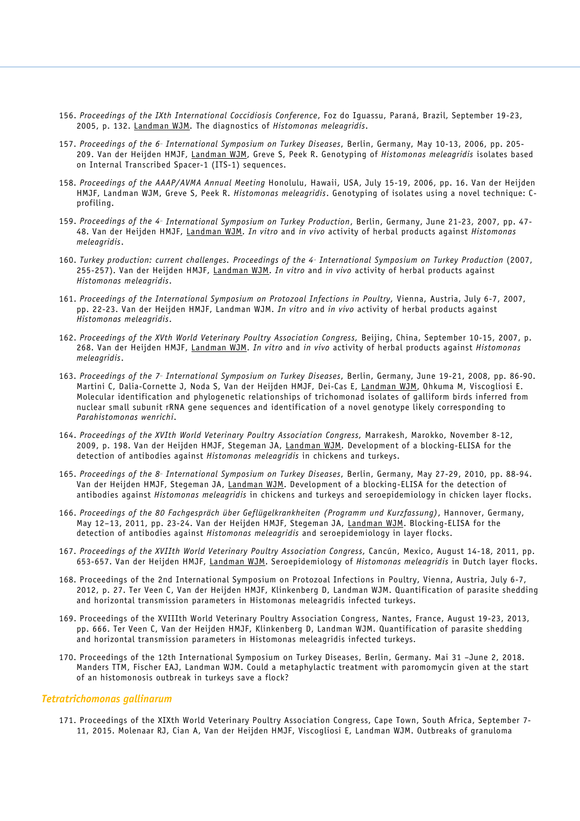- 156. *Proceedings of the IXth International Coccidiosis Conference*, Foz do Iguassu, Paraná, Brazil, September 19-23, 2005, p. 132. Landman WJM. The diagnostics of *Histomonas meleagridis*.
- 157. *Proceedings of the 6t h International Symposium on Turkey Diseases*, Berlin, Germany, May 10-13, 2006, pp. 205- 209. Van der Heijden HMJF, Landman WJM, Greve S, Peek R. Genotyping of *Histomonas meleagridis* isolates based on Internal Transcribed Spacer-1 (ITS-1) sequences.
- 158. *Proceedings of the AAAP/AVMA Annual Meeting* Honolulu, Hawaii, USA, July 15-19, 2006, pp. 16. Van der Heijden HMJF, Landman WJM, Greve S, Peek R. *Histomonas meleagridis*. Genotyping of isolates using a novel technique: Cprofiling.
- 159. *Proceedings of the 4t h International Symposium on Turkey Production*, Berlin, Germany, June 21-23, 2007, pp. 47- 48. Van der Heijden HMJF, Landman WJM. *In vitro* and *in vivo* activity of herbal products against *Histomonas meleagridis*.
- 160. *Turkey production: current challenges. Proceedings of the 4t h International Symposium on Turkey Production* (2007, 255-257). Van der Heijden HMJF, Landman WJM. *In vitro* and *in vivo* activity of herbal products against *Histomonas meleagridis*.
- 161. *Proceedings of the International Symposium on Protozoal Infections in Poultry,* Vienna, Austria, July 6-7, 2007, pp. 22-23. Van der Heijden HMJF, Landman WJM. *In vitro* and *in vivo* activity of herbal products against *Histomonas meleagridis*.
- 162. *Proceedings of the XVth World Veterinary Poultry Association Congress,* Beijing, China, September 10-15, 2007, p. 268. Van der Heijden HMJF, Landman WJM. *In vitro* and *in vivo* activity of herbal products against *Histomonas meleagridis*.
- 163. *Proceedings of the 7t h International Symposium on Turkey Diseases*, Berlin, Germany, June 19-21, 2008, pp. 86-90. Martini C, Dalia-Cornette J, Noda S, Van der Heijden HMJF, Dei-Cas E, Landman WJM, Ohkuma M, Viscogliosi E. Molecular identification and phylogenetic relationships of trichomonad isolates of galliform birds inferred from nuclear small subunit rRNA gene sequences and identification of a novel genotype likely corresponding to *Parahistomonas wenrichi*.
- 164. *Proceedings of the XVIth World Veterinary Poultry Association Congress,* Marrakesh, Marokko, November 8-12, 2009, p. 198. Van der Heijden HMJF, Stegeman JA, Landman WJM. Development of a blocking-ELISA for the detection of antibodies against *Histomonas meleagridis* in chickens and turkeys.
- 165. *Proceedings of the 8t h International Symposium on Turkey Diseases*, Berlin, Germany, May 27-29, 2010, pp. 88-94. Van der Heijden HMJF, Stegeman JA, Landman WJM. Development of a blocking-ELISA for the detection of antibodies against *Histomonas meleagridis* in chickens and turkeys and seroepidemiology in chicken layer flocks.
- 166. *Proceedings of the 80 Fachgespräch über Geflügelkrankheiten (Programm und Kurzfassung)*, Hannover, Germany, May 12–13, 2011, pp. 23-24. Van der Heijden HMJF, Stegeman JA, Landman WJM. Blocking-ELISA for the detection of antibodies against *Histomonas meleagridis* and seroepidemiology in layer flocks.
- 167. *Proceedings of the XVIIth World Veterinary Poultry Association Congress,* Cancún, Mexico, August 14-18, 2011, pp. 653-657. Van der Heijden HMJF, Landman WJM. Seroepidemiology of *Histomonas meleagridis* in Dutch layer flocks.
- 168. Proceedings of the 2nd International Symposium on Protozoal Infections in Poultry, Vienna, Austria, July 6-7, 2012, p. 27. Ter Veen C, Van der Heijden HMJF, Klinkenberg D, Landman WJM. Quantification of parasite shedding and horizontal transmission parameters in Histomonas meleagridis infected turkeys.
- 169. Proceedings of the XVIIIth World Veterinary Poultry Association Congress, Nantes, France, August 19-23, 2013, pp. 666. Ter Veen C, Van der Heijden HMJF, Klinkenberg D, Landman WJM. Quantification of parasite shedding and horizontal transmission parameters in Histomonas meleagridis infected turkeys.
- 170. Proceedings of the 12th International Symposium on Turkey Diseases, Berlin, Germany. Mai 31 –June 2, 2018. Manders TTM, Fischer EAJ, Landman WJM. Could a metaphylactic treatment with paromomycin given at the start of an histomonosis outbreak in turkeys save a flock?

#### *Tetratrichomonas gallinarum*

171. Proceedings of the XIXth World Veterinary Poultry Association Congress, Cape Town, South Africa, September 7- 11, 2015. Molenaar RJ, Cian A, Van der Heijden HMJF, Viscogliosi E, Landman WJM. Outbreaks of granuloma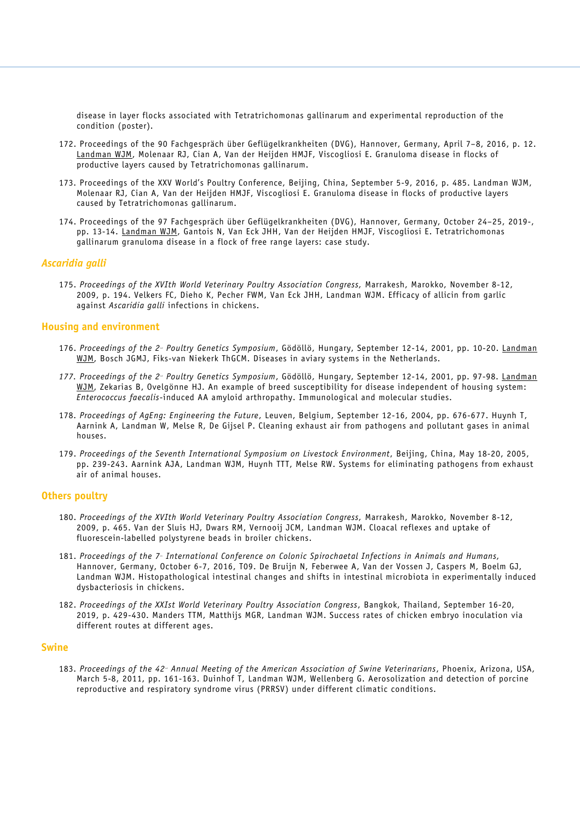disease in layer flocks associated with Tetratrichomonas gallinarum and experimental reproduction of the condition (poster).

- 172. Proceedings of the 90 Fachgespräch über Geflügelkrankheiten (DVG), Hannover, Germany, April 7–8, 2016, p. 12. Landman WJM, Molenaar RJ, Cian A, Van der Heijden HMJF, Viscogliosi E. Granuloma disease in flocks of productive layers caused by Tetratrichomonas gallinarum.
- 173. Proceedings of the XXV World's Poultry Conference, Beijing, China, September 5-9, 2016, p. 485. Landman WJM, Molenaar RJ, Cian A, Van der Heijden HMJF, Viscogliosi E. Granuloma disease in flocks of productive layers caused by Tetratrichomonas gallinarum.
- 174. Proceedings of the 97 Fachgespräch über Geflügelkrankheiten (DVG), Hannover, Germany, October 24–25, 2019-, pp. 13-14. Landman WJM, Gantois N, Van Eck JHH, Van der Heijden HMJF, Viscogliosi E. Tetratrichomonas gallinarum granuloma disease in a flock of free range layers: case study.

## *Ascaridia galli*

175. *Proceedings of the XVIth World Veterinary Poultry Association Congress,* Marrakesh, Marokko, November 8-12, 2009, p. 194. Velkers FC, Dieho K, Pecher FWM, Van Eck JHH, Landman WJM. Efficacy of allicin from garlic against *Ascaridia galli* infections in chickens.

#### **Housing and environment**

- 176. *Proceedings of the 2n d Poultry Genetics Symposium*, Gödöllö, Hungary, September 12-14, 2001, pp. 10-20. Landman WJM, Bosch JGMJ, Fiks-van Niekerk ThGCM. Diseases in aviary systems in the Netherlands.
- *177. Proceedings of the 2n d Poultry Genetics Symposium*, Gödöllö, Hungary, September 12-14, 2001, pp. 97-98. Landman WJM, Zekarias B, Ovelgönne HJ. An example of breed susceptibility for disease independent of housing system: *Enterococcus faecalis*-induced AA amyloid arthropathy. Immunological and molecular studies.
- 178. *Proceedings of AgEng: Engineering the Future*, Leuven, Belgium, September 12-16, 2004, pp. 676-677. Huynh T, Aarnink A, Landman W, Melse R, De Gijsel P. Cleaning exhaust air from pathogens and pollutant gases in animal houses.
- 179. *Proceedings of the Seventh International Symposium on Livestock Environment*, Beijing, China, May 18-20, 2005, pp. 239-243. Aarnink AJA, Landman WJM, Huynh TTT, Melse RW. Systems for eliminating pathogens from exhaust air of animal houses.

## **Others poultry**

- 180. *Proceedings of the XVIth World Veterinary Poultry Association Congress,* Marrakesh, Marokko, November 8-12, 2009, p. 465. Van der Sluis HJ, Dwars RM, Vernooij JCM, Landman WJM. Cloacal reflexes and uptake of fluorescein-labelled polystyrene beads in broiler chickens.
- 181. *Proceedings of the 7t h International Conference on Colonic Spirochaetal Infections in Animals and Humans,* Hannover, Germany, October 6-7, 2016, T09. De Bruijn N, Feberwee A, Van der Vossen J, Caspers M, Boelm GJ, Landman WJM. Histopathological intestinal changes and shifts in intestinal microbiota in experimentally induced dysbacteriosis in chickens.
- 182. *Proceedings of the XXIst World Veterinary Poultry Association Congress*, Bangkok, Thailand, September 16-20, 2019, p. 429-430. Manders TTM, Matthijs MGR, Landman WJM. Success rates of chicken embryo inoculation via different routes at different ages.

#### **Swine**

183. Proceedings of the 42<sup>.</sup> Annual Meeting of the American Association of Swine Veterinarians, Phoenix, Arizona, USA, March 5-8, 2011, pp. 161-163. Duinhof T, Landman WJM, Wellenberg G. Aerosolization and detection of porcine reproductive and respiratory syndrome virus (PRRSV) under different climatic conditions.